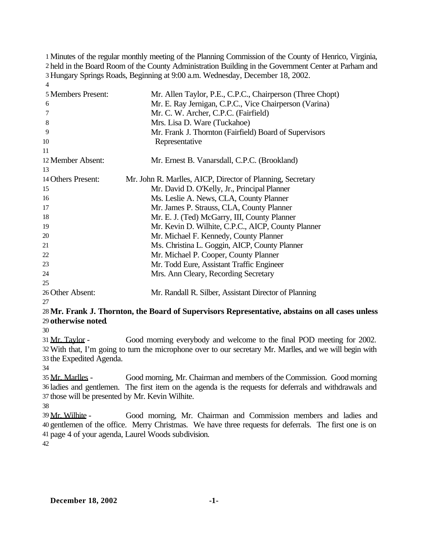Minutes of the regular monthly meeting of the Planning Commission of the County of Henrico, Virginia, held in the Board Room of the County Administration Building in the Government Center at Parham and Hungary Springs Roads, Beginning at 9:00 a.m. Wednesday, December 18, 2002. 

| 5 Members Present: | Mr. Allen Taylor, P.E., C.P.C., Chairperson (Three Chopt)  |
|--------------------|------------------------------------------------------------|
| 6                  | Mr. E. Ray Jernigan, C.P.C., Vice Chairperson (Varina)     |
|                    | Mr. C. W. Archer, C.P.C. (Fairfield)                       |
| 8                  | Mrs. Lisa D. Ware (Tuckahoe)                               |
| 9                  | Mr. Frank J. Thornton (Fairfield) Board of Supervisors     |
| 10                 | Representative                                             |
| 11                 |                                                            |
| 12 Member Absent:  | Mr. Ernest B. Vanarsdall, C.P.C. (Brookland)               |
| 13                 |                                                            |
| 14 Others Present: | Mr. John R. Marlles, AICP, Director of Planning, Secretary |
| 15                 | Mr. David D. O'Kelly, Jr., Principal Planner               |
| 16                 | Ms. Leslie A. News, CLA, County Planner                    |
| 17                 | Mr. James P. Strauss, CLA, County Planner                  |
| 18                 | Mr. E. J. (Ted) McGarry, III, County Planner               |
| 19                 | Mr. Kevin D. Wilhite, C.P.C., AICP, County Planner         |
| 20                 | Mr. Michael F. Kennedy, County Planner                     |
| 21                 | Ms. Christina L. Goggin, AICP, County Planner              |
| 22                 | Mr. Michael P. Cooper, County Planner                      |
| 23                 | Mr. Todd Eure, Assistant Traffic Engineer                  |
| 24                 | Mrs. Ann Cleary, Recording Secretary                       |
| 25                 |                                                            |
| 26 Other Absent:   | Mr. Randall R. Silber, Assistant Director of Planning      |
|                    |                                                            |

# **Mr. Frank J. Thornton, the Board of Supervisors Representative, abstains on all cases unless otherwise noted**.

 Mr. Taylor - Good morning everybody and welcome to the final POD meeting for 2002. With that, I'm going to turn the microphone over to our secretary Mr. Marlles, and we will begin with the Expedited Agenda.

 Mr. Marlles - Good morning, Mr. Chairman and members of the Commission. Good morning ladies and gentlemen. The first item on the agenda is the requests for deferrals and withdrawals and those will be presented by Mr. Kevin Wilhite.

 Mr. Wilhite - Good morning, Mr. Chairman and Commission members and ladies and gentlemen of the office. Merry Christmas. We have three requests for deferrals. The first one is on page 4 of your agenda, Laurel Woods subdivision.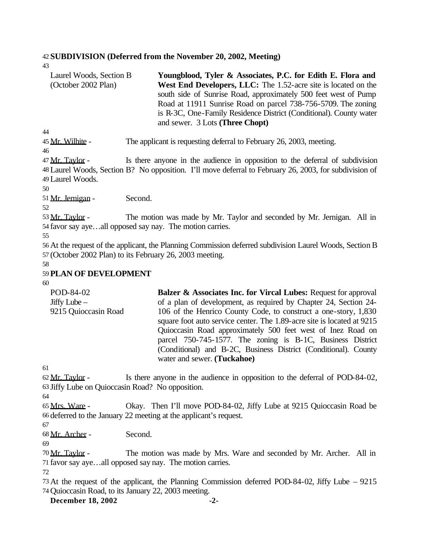# 42 **SUBDIVISION (Deferred from the November 20, 2002, Meeting)**

| Laurel Woods, Section B<br>(October 2002 Plan)                      | Youngblood, Tyler & Associates, P.C. for Edith E. Flora and<br>West End Developers, LLC: The 1.52-acre site is located on the<br>south side of Sunrise Road, approximately 500 feet west of Pump<br>Road at 11911 Sunrise Road on parcel 738-756-5709. The zoning<br>is R-3C, One-Family Residence District (Conditional). County water<br>and sewer. 3 Lots (Three Chopt)                                                                                                                                                 |
|---------------------------------------------------------------------|----------------------------------------------------------------------------------------------------------------------------------------------------------------------------------------------------------------------------------------------------------------------------------------------------------------------------------------------------------------------------------------------------------------------------------------------------------------------------------------------------------------------------|
| 44<br>45 Mr. Wilhite -                                              | The applicant is requesting deferral to February 26, 2003, meeting.                                                                                                                                                                                                                                                                                                                                                                                                                                                        |
| 46                                                                  |                                                                                                                                                                                                                                                                                                                                                                                                                                                                                                                            |
| 47 Mr. Taylor -<br>49 Laurel Woods.<br>50                           | Is there anyone in the audience in opposition to the deferral of subdivision<br>48 Laurel Woods, Section B? No opposition. I'll move deferral to February 26, 2003, for subdivision of                                                                                                                                                                                                                                                                                                                                     |
| 51 Mr. Jernigan -<br>52                                             | Second.                                                                                                                                                                                                                                                                                                                                                                                                                                                                                                                    |
| 53 Mr. Taylor -<br>55                                               | The motion was made by Mr. Taylor and seconded by Mr. Jernigan. All in<br>54 favor say ayeall opposed say nay. The motion carries.                                                                                                                                                                                                                                                                                                                                                                                         |
|                                                                     | 56 At the request of the applicant, the Planning Commission deferred subdivision Laurel Woods, Section B<br>57 (October 2002 Plan) to its February 26, 2003 meeting.                                                                                                                                                                                                                                                                                                                                                       |
| 58<br>59 PLAN OF DEVELOPMENT                                        |                                                                                                                                                                                                                                                                                                                                                                                                                                                                                                                            |
| 60                                                                  |                                                                                                                                                                                                                                                                                                                                                                                                                                                                                                                            |
| POD-84-02<br>Jiffy Lube $-$<br>9215 Quioccasin Road<br>61           | <b>Balzer &amp; Associates Inc. for Vircal Lubes: Request for approval</b><br>of a plan of development, as required by Chapter 24, Section 24-<br>106 of the Henrico County Code, to construct a one-story, 1,830<br>square foot auto service center. The 1.89-acre site is located at 9215<br>Quioccasin Road approximately 500 feet west of Inez Road on<br>parcel 750-745-1577. The zoning is B-1C, Business District<br>(Conditional) and B-2C, Business District (Conditional). County<br>water and sewer. (Tuckahoe) |
| 62 Mr. Taylor -<br>63 Jiffy Lube on Quioccasin Road? No opposition. | Is there anyone in the audience in opposition to the deferral of POD-84-02,                                                                                                                                                                                                                                                                                                                                                                                                                                                |
| 64<br>65 Mrs. Ware -<br>67                                          | Okay. Then I'll move POD-84-02, Jiffy Lube at 9215 Quioccasin Road be<br>66 deferred to the January 22 meeting at the applicant's request.                                                                                                                                                                                                                                                                                                                                                                                 |
| 68 Mr. Archer -<br>69                                               | Second.                                                                                                                                                                                                                                                                                                                                                                                                                                                                                                                    |
| 70 Mr. Taylor -                                                     | The motion was made by Mrs. Ware and seconded by Mr. Archer. All in<br>71 favor say ayeall opposed say nay. The motion carries.                                                                                                                                                                                                                                                                                                                                                                                            |
| 72<br><b>December 18, 2002</b>                                      | 73 At the request of the applicant, the Planning Commission deferred POD-84-02, Jiffy Lube – 9215<br>74 Quioccasin Road, to its January 22, 2003 meeting.<br>$-2-$                                                                                                                                                                                                                                                                                                                                                         |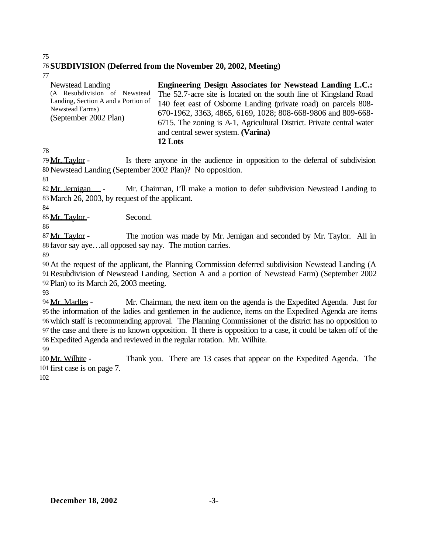## **SUBDIVISION (Deferred from the November 20, 2002, Meeting)**

| Newstead Landing                                                                                                | <b>Engineering Design Associates for Newstead Landing L.C.:</b>                                                                                                                                                                                                                                                    |
|-----------------------------------------------------------------------------------------------------------------|--------------------------------------------------------------------------------------------------------------------------------------------------------------------------------------------------------------------------------------------------------------------------------------------------------------------|
| (A Resubdivision of Newstead<br>Landing, Section A and a Portion of<br>Newstead Farms)<br>(September 2002 Plan) | The 52.7-acre site is located on the south line of Kingsland Road<br>140 feet east of Osborne Landing (private road) on parcels 808-<br>670-1962, 3363, 4865, 6169, 1028; 808-668-9806 and 809-668-<br>6715. The zoning is A-1, Agricultural District. Private central water<br>and central sewer system. (Varina) |
|                                                                                                                 | 12 Lots                                                                                                                                                                                                                                                                                                            |

79 Mr. Taylor - Is there anyone in the audience in opposition to the deferral of subdivision Newstead Landing (September 2002 Plan)? No opposition.

82 Mr. Jernigan - Mr. Chairman, I'll make a motion to defer subdivision Newstead Landing to March 26, 2003, by request of the applicant.

Mr. Taylor - Second.

87 Mr. Taylor - The motion was made by Mr. Jernigan and seconded by Mr. Taylor. All in favor say aye…all opposed say nay. The motion carries.

 At the request of the applicant, the Planning Commission deferred subdivision Newstead Landing (A Resubdivision of Newstead Landing, Section A and a portion of Newstead Farm) (September 2002 Plan) to its March 26, 2003 meeting.

 Mr. Marlles - Mr. Chairman, the next item on the agenda is the Expedited Agenda. Just for the information of the ladies and gentlemen in the audience, items on the Expedited Agenda are items which staff is recommending approval. The Planning Commissioner of the district has no opposition to the case and there is no known opposition. If there is opposition to a case, it could be taken off of the Expedited Agenda and reviewed in the regular rotation. Mr. Wilhite. 

 Mr. Wilhite - Thank you. There are 13 cases that appear on the Expedited Agenda. The first case is on page 7.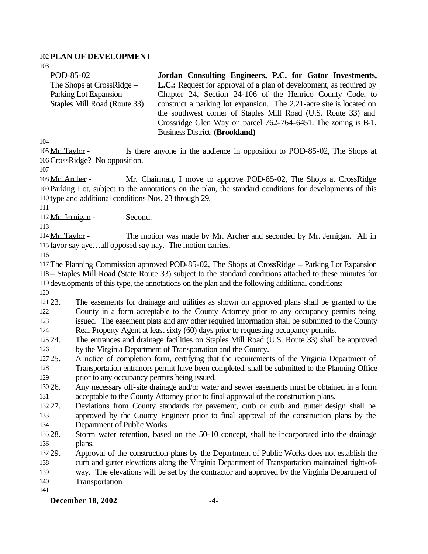#### **PLAN OF DEVELOPMENT**

| POD-85-02                    | Jordan Consulting Engineers, P.C. for Gator Investments,                   |
|------------------------------|----------------------------------------------------------------------------|
| The Shops at CrossRidge $-$  | <b>L.C.:</b> Request for approval of a plan of development, as required by |
| Parking Lot Expansion –      | Chapter 24, Section 24-106 of the Henrico County Code, to                  |
| Staples Mill Road (Route 33) | construct a parking lot expansion. The 2.21-acre site is located on        |
|                              | the southwest corner of Staples Mill Road (U.S. Route 33) and              |
|                              | Crossridge Glen Way on parcel $762-764-6451$ . The zoning is B-1,          |
|                              | <b>Business District. (Brookland)</b>                                      |

105 Mr. Taylor - Is there anyone in the audience in opposition to POD-85-02, The Shops at CrossRidge? No opposition.

 Mr. Archer - Mr. Chairman, I move to approve POD-85-02, The Shops at CrossRidge Parking Lot, subject to the annotations on the plan, the standard conditions for developments of this type and additional conditions Nos. 23 through 29.

112 Mr. Jernigan - Second.

114 Mr. Taylor - The motion was made by Mr. Archer and seconded by Mr. Jernigan. All in favor say aye…all opposed say nay. The motion carries.

 The Planning Commission approved POD-85-02, The Shops at CrossRidge – Parking Lot Expansion – Staples Mill Road (State Route 33) subject to the standard conditions attached to these minutes for developments of this type, the annotations on the plan and the following additional conditions:

 23. The easements for drainage and utilities as shown on approved plans shall be granted to the County in a form acceptable to the County Attorney prior to any occupancy permits being issued. The easement plats and any other required information shall be submitted to the County

Real Property Agent at least sixty (60) days prior to requesting occupancy permits.

- 24. The entrances and drainage facilities on Staples Mill Road (U.S. Route 33) shall be approved by the Virginia Department of Transportation and the County.
- 25. A notice of completion form, certifying that the requirements of the Virginia Department of Transportation entrances permit have been completed, shall be submitted to the Planning Office
- prior to any occupancy permits being issued.
- 26. Any necessary off-site drainage and/or water and sewer easements must be obtained in a form acceptable to the County Attorney prior to final approval of the construction plans.
- 27. Deviations from County standards for pavement, curb or curb and gutter design shall be approved by the County Engineer prior to final approval of the construction plans by the
- Department of Public Works.
- 28. Storm water retention, based on the 50-10 concept, shall be incorporated into the drainage plans.
- 29. Approval of the construction plans by the Department of Public Works does not establish the curb and gutter elevations along the Virginia Department of Transportation maintained right-of- way. The elevations will be set by the contractor and approved by the Virginia Department of Transportation.
- 

### **December 18, 2002 -4-**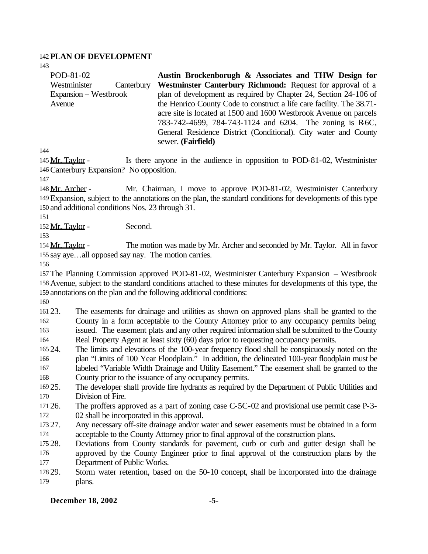#### **PLAN OF DEVELOPMENT**

POD-81-02 Westminister Canterbury Expansion – Westbrook Avenue **Austin Brockenborugh & Associates and THW Design for Westminster Canterbury Richmond:** Request for approval of a plan of development as required by Chapter 24, Section 24-106 of the Henrico County Code to construct a life care facility. The 38.71 acre site is located at 1500 and 1600 Westbrook Avenue on parcels 783-742-4699, 784-743-1124 and 6204. The zoning is R-6C, General Residence District (Conditional). City water and County sewer. **(Fairfield)**

 Mr. Taylor - Is there anyone in the audience in opposition to POD-81-02, Westminister Canterbury Expansion? No opposition.

 Mr. Archer - Mr. Chairman, I move to approve POD-81-02, Westminister Canterbury Expansion, subject to the annotations on the plan, the standard conditions for developments of this type and additional conditions Nos. 23 through 31.

152 Mr. Taylor - Second.

154 Mr. Taylor - The motion was made by Mr. Archer and seconded by Mr. Taylor. All in favor say aye…all opposed say nay. The motion carries.

 The Planning Commission approved POD-81-02, Westminister Canterbury Expansion – Westbrook Avenue, subject to the standard conditions attached to these minutes for developments of this type, the annotations on the plan and the following additional conditions:

 23. The easements for drainage and utilities as shown on approved plans shall be granted to the County in a form acceptable to the County Attorney prior to any occupancy permits being

issued. The easement plats and any other required information shall be submitted to the County

Real Property Agent at least sixty (60) days prior to requesting occupancy permits.

 24. The limits and elevations of the 100-year frequency flood shall be conspicuously noted on the plan "Limits of 100 Year Floodplain." In addition, the delineated 100-year floodplain must be labeled "Variable Width Drainage and Utility Easement." The easement shall be granted to the

County prior to the issuance of any occupancy permits.

- 25. The developer shall provide fire hydrants as required by the Department of Public Utilities and Division of Fire.
- 26. The proffers approved as a part of zoning case C-5C-02 and provisional use permit case P-3- 02 shall be incorporated in this approval.
- 27. Any necessary off-site drainage and/or water and sewer easements must be obtained in a form acceptable to the County Attorney prior to final approval of the construction plans.
- 28. Deviations from County standards for pavement, curb or curb and gutter design shall be approved by the County Engineer prior to final approval of the construction plans by the Department of Public Works.
- 29. Storm water retention, based on the 50-10 concept, shall be incorporated into the drainage plans.

### **December 18, 2002 -5-**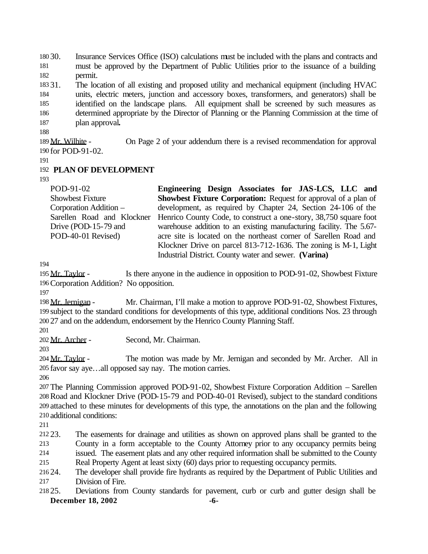30. Insurance Services Office (ISO) calculations must be included with the plans and contracts and must be approved by the Department of Public Utilities prior to the issuance of a building permit.

 31. The location of all existing and proposed utility and mechanical equipment (including HVAC units, electric meters, junction and accessory boxes, transformers, and generators) shall be identified on the landscape plans. All equipment shall be screened by such measures as determined appropriate by the Director of Planning or the Planning Commission at the time of plan approval**.**

189 Mr. Wilhite - On Page 2 of your addendum there is a revised recommendation for approval for POD-91-02.

#### **PLAN OF DEVELOPMENT**

| POD-91-02                  | Engineering Design Associates for JAS-LCS, LLC and                     |
|----------------------------|------------------------------------------------------------------------|
| <b>Showbest Fixture</b>    | <b>Showbest Fixture Corporation:</b> Request for approval of a plan of |
| Corporation Addition -     | development, as required by Chapter 24, Section 24-106 of the          |
| Sarellen Road and Klockner | Henrico County Code, to construct a one-story, 38,750 square foot      |
| Drive (POD-15-79 and       | warehouse addition to an existing manufacturing facility. The 5.67-    |
| POD-40-01 Revised)         | acre site is located on the northeast corner of Sarellen Road and      |
|                            | Klockner Drive on parcel 813-712-1636. The zoning is M-1, Light        |
|                            | Industrial District. County water and sewer. (Varina)                  |

195 Mr. Taylor - Is there anyone in the audience in opposition to POD-91-02, Showbest Fixture Corporation Addition? No opposition.

198 Mr. Jernigan - Mr. Chairman, I'll make a motion to approve POD-91-02, Showbest Fixtures, subject to the standard conditions for developments of this type, additional conditions Nos. 23 through 27 and on the addendum, endorsement by the Henrico County Planning Staff.

Mr. Archer - Second, Mr. Chairman.

204 Mr. Taylor - The motion was made by Mr. Jernigan and seconded by Mr. Archer. All in favor say aye…all opposed say nay. The motion carries.

 The Planning Commission approved POD-91-02, Showbest Fixture Corporation Addition – Sarellen Road and Klockner Drive (POD-15-79 and POD-40-01 Revised), subject to the standard conditions attached to these minutes for developments of this type, the annotations on the plan and the following additional conditions:

 23. The easements for drainage and utilities as shown on approved plans shall be granted to the County in a form acceptable to the County Attorney prior to any occupancy permits being issued. The easement plats and any other required information shall be submitted to the County

Real Property Agent at least sixty (60) days prior to requesting occupancy permits.

 24. The developer shall provide fire hydrants as required by the Department of Public Utilities and Division of Fire.

**December 18, 2002 -6-** 25. Deviations from County standards for pavement, curb or curb and gutter design shall be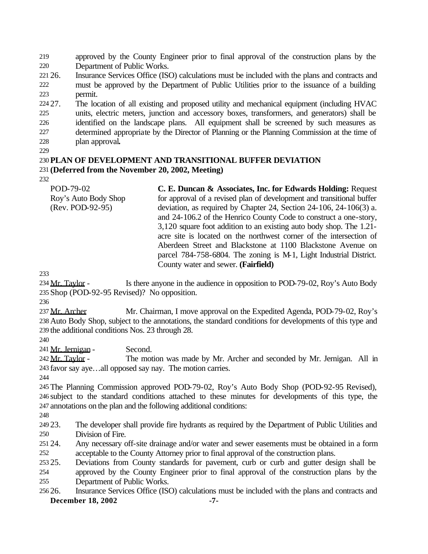approved by the County Engineer prior to final approval of the construction plans by the Department of Public Works.

- 26. Insurance Services Office (ISO) calculations must be included with the plans and contracts and must be approved by the Department of Public Utilities prior to the issuance of a building permit.
- 27. The location of all existing and proposed utility and mechanical equipment (including HVAC units, electric meters, junction and accessory boxes, transformers, and generators) shall be identified on the landscape plans. All equipment shall be screened by such measures as determined appropriate by the Director of Planning or the Planning Commission at the time of plan approval**.**
- 

# **PLAN OF DEVELOPMENT AND TRANSITIONAL BUFFER DEVIATION (Deferred from the November 20, 2002, Meeting)**

| POD-79-02            | C. E. Duncan & Associates, Inc. for Edwards Holding: Request            |
|----------------------|-------------------------------------------------------------------------|
| Roy's Auto Body Shop | for approval of a revised plan of development and transitional buffer   |
| (Rev. POD-92-95)     | deviation, as required by Chapter 24, Section $24-106$ , $24-106(3)$ a. |
|                      | and 24-106.2 of the Henrico County Code to construct a one-story,       |
|                      | 3,120 square foot addition to an existing auto body shop. The 1.21-     |
|                      | acre site is located on the northwest corner of the intersection of     |
|                      | Aberdeen Street and Blackstone at 1100 Blackstone Avenue on             |
|                      | parcel 784-758-6804. The zoning is M-1, Light Industrial District.      |
|                      | County water and sewer. (Fairfield)                                     |

234 Mr. Taylor - Is there anyone in the audience in opposition to POD-79-02, Roy's Auto Body Shop (POD-92-95 Revised)? No opposition.

237 Mr. Archer Mr. Chairman, I move approval on the Expedited Agenda, POD-79-02, Rov's Auto Body Shop, subject to the annotations, the standard conditions for developments of this type and the additional conditions Nos. 23 through 28.

Mr. Jernigan - Second.

242 Mr. Taylor - The motion was made by Mr. Archer and seconded by Mr. Jernigan. All in favor say aye…all opposed say nay. The motion carries.

 The Planning Commission approved POD-79-02, Roy's Auto Body Shop (POD-92-95 Revised), subject to the standard conditions attached to these minutes for developments of this type, the annotations on the plan and the following additional conditions:

 23. The developer shall provide fire hydrants as required by the Department of Public Utilities and Division of Fire.

 24. Any necessary off-site drainage and/or water and sewer easements must be obtained in a form acceptable to the County Attorney prior to final approval of the construction plans.

25. Deviations from County standards for pavement, curb or curb and gutter design shall be

 approved by the County Engineer prior to final approval of the construction plans by the Department of Public Works.

**December 18, 2002** -7. 26. Insurance Services Office (ISO) calculations must be included with the plans and contracts and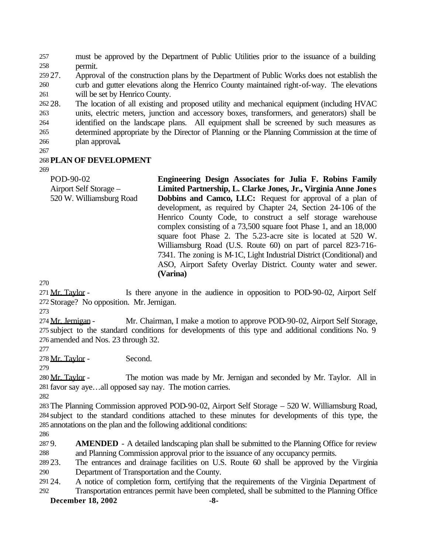must be approved by the Department of Public Utilities prior to the issuance of a building permit.

 27. Approval of the construction plans by the Department of Public Works does not establish the curb and gutter elevations along the Henrico County maintained right-of-way. The elevations will be set by Henrico County.

 28. The location of all existing and proposed utility and mechanical equipment (including HVAC units, electric meters, junction and accessory boxes, transformers, and generators) shall be identified on the landscape plans. All equipment shall be screened by such measures as determined appropriate by the Director of Planning or the Planning Commission at the time of plan approval**.**

## **PLAN OF DEVELOPMENT**

| Airport Self Storage –<br>520 W. Williamsburg Road<br>(Varina) | POD-90-02 | Engineering Design Associates for Julia F. Robins Family              |
|----------------------------------------------------------------|-----------|-----------------------------------------------------------------------|
|                                                                |           | Limited Partnership, L. Clarke Jones, Jr., Virginia Anne Jones        |
|                                                                |           | <b>Dobbins and Camco, LLC:</b> Request for approval of a plan of      |
|                                                                |           | development, as required by Chapter 24, Section 24-106 of the         |
|                                                                |           | Henrico County Code, to construct a self storage warehouse            |
|                                                                |           | complex consisting of a 73,500 square foot Phase 1, and an 18,000     |
|                                                                |           | square foot Phase 2. The 5.23-acre site is located at 520 W.          |
|                                                                |           | Williamsburg Road (U.S. Route 60) on part of parcel 823-716-          |
|                                                                |           | 7341. The zoning is M-1C, Light Industrial District (Conditional) and |
|                                                                |           | ASO, Airport Safety Overlay District. County water and sewer.         |
|                                                                |           |                                                                       |

271 Mr. Taylor - Is there anyone in the audience in opposition to POD-90-02, Airport Self Storage? No opposition. Mr. Jernigan.

274 Mr. Jernigan - Mr. Chairman, I make a motion to approve POD-90-02, Airport Self Storage, subject to the standard conditions for developments of this type and additional conditions No. 9 amended and Nos. 23 through 32.

Mr. Taylor - Second.

280 Mr. Taylor - The motion was made by Mr. Jernigan and seconded by Mr. Taylor. All in favor say aye…all opposed say nay. The motion carries.

 The Planning Commission approved POD-90-02, Airport Self Storage – 520 W. Williamsburg Road, subject to the standard conditions attached to these minutes for developments of this type, the annotations on the plan and the following additional conditions:

 9. **AMENDED** - A detailed landscaping plan shall be submitted to the Planning Office for review and Planning Commission approval prior to the issuance of any occupancy permits.

 23. The entrances and drainage facilities on U.S. Route 60 shall be approved by the Virginia Department of Transportation and the County.

 24. A notice of completion form, certifying that the requirements of the Virginia Department of Transportation entrances permit have been completed, shall be submitted to the Planning Office

### **December 18, 2002** -8-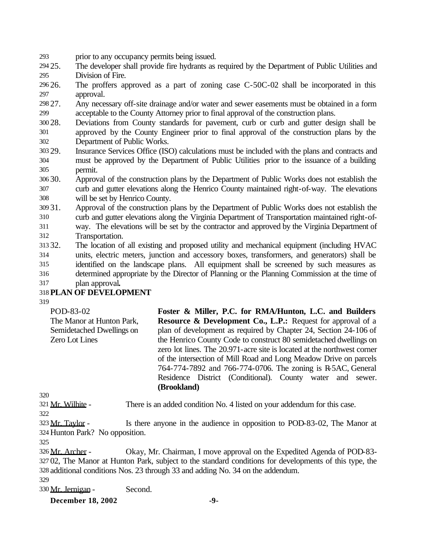- prior to any occupancy permits being issued.
- 25. The developer shall provide fire hydrants as required by the Department of Public Utilities and Division of Fire.
- 26. The proffers approved as a part of zoning case C-50C-02 shall be incorporated in this approval.
- 27. Any necessary off-site drainage and/or water and sewer easements must be obtained in a form acceptable to the County Attorney prior to final approval of the construction plans.
- 28. Deviations from County standards for pavement, curb or curb and gutter design shall be approved by the County Engineer prior to final approval of the construction plans by the Department of Public Works.
- 29. Insurance Services Office (ISO) calculations must be included with the plans and contracts and must be approved by the Department of Public Utilities prior to the issuance of a building permit.
- 30. Approval of the construction plans by the Department of Public Works does not establish the curb and gutter elevations along the Henrico County maintained right-of-way. The elevations will be set by Henrico County.
- 31. Approval of the construction plans by the Department of Public Works does not establish the curb and gutter elevations along the Virginia Department of Transportation maintained right-of- way. The elevations will be set by the contractor and approved by the Virginia Department of Transportation.
- 32. The location of all existing and proposed utility and mechanical equipment (including HVAC units, electric meters, junction and accessory boxes, transformers, and generators) shall be identified on the landscape plans. All equipment shall be screened by such measures as determined appropriate by the Director of Planning or the Planning Commission at the time of
- plan approval**.**

# **PLAN OF DEVELOPMENT**

| POD-83-02                 | Foster & Miller, P.C. for RMA/Hunton, L.C. and Builders                 |
|---------------------------|-------------------------------------------------------------------------|
| The Manor at Hunton Park, | <b>Resource &amp; Development Co., L.P.: Request for approval of a</b>  |
| Semidetached Dwellings on | plan of development as required by Chapter 24, Section 24-106 of        |
| <b>Zero Lot Lines</b>     | the Henrico County Code to construct 80 semidetached dwellings on       |
|                           | zero lot lines. The 20.971-acre site is located at the northwest corner |
|                           | of the intersection of Mill Road and Long Meadow Drive on parcels       |
|                           | 764-774-7892 and 766-774-0706. The zoning is R-5AC, General             |
|                           | Residence District (Conditional). County water and sewer.               |
|                           | (Brookland)                                                             |
| 320                       |                                                                         |

321 Mr. Wilhite - There is an added condition No. 4 listed on your addendum for this case.

323 Mr. Taylor - Is there anyone in the audience in opposition to POD-83-02, The Manor at Hunton Park? No opposition.

326 Mr. Archer - Okay, Mr. Chairman, I move approval on the Expedited Agenda of POD-83- 02, The Manor at Hunton Park, subject to the standard conditions for developments of this type, the additional conditions Nos. 23 through 33 and adding No. 34 on the addendum. 

Mr. Jernigan - Second.

**December 18, 2002** -9-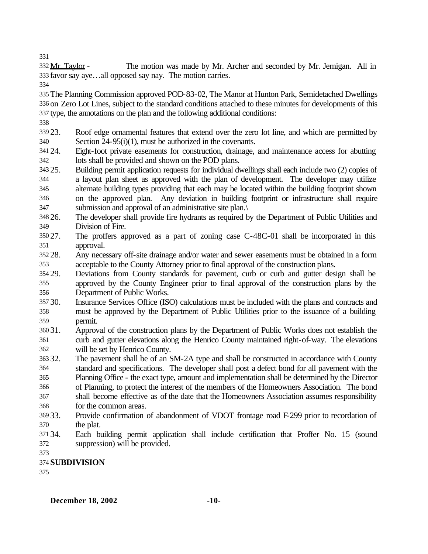332 Mr. Taylor - The motion was made by Mr. Archer and seconded by Mr. Jernigan. All in favor say aye…all opposed say nay. The motion carries.

 The Planning Commission approved POD-83-02, The Manor at Hunton Park, Semidetached Dwellings on Zero Lot Lines, subject to the standard conditions attached to these minutes for developments of this type, the annotations on the plan and the following additional conditions:

- 23. Roof edge ornamental features that extend over the zero lot line, and which are permitted by Section 24-95(i)(1), must be authorized in the covenants.
- 24. Eight-foot private easements for construction, drainage, and maintenance access for abutting lots shall be provided and shown on the POD plans.
- 25. Building permit application requests for individual dwellings shall each include two (2) copies of a layout plan sheet as approved with the plan of development. The developer may utilize alternate building types providing that each may be located within the building footprint shown on the approved plan. Any deviation in building footprint or infrastructure shall require submission and approval of an administrative site plan.\
- 26. The developer shall provide fire hydrants as required by the Department of Public Utilities and Division of Fire.
- 27. The proffers approved as a part of zoning case C-48C-01 shall be incorporated in this approval.
- 28. Any necessary off-site drainage and/or water and sewer easements must be obtained in a form acceptable to the County Attorney prior to final approval of the construction plans.
- 29. Deviations from County standards for pavement, curb or curb and gutter design shall be approved by the County Engineer prior to final approval of the construction plans by the Department of Public Works.
- 30. Insurance Services Office (ISO) calculations must be included with the plans and contracts and must be approved by the Department of Public Utilities prior to the issuance of a building permit.
- 31. Approval of the construction plans by the Department of Public Works does not establish the curb and gutter elevations along the Henrico County maintained right-of-way. The elevations will be set by Henrico County.
- 32. The pavement shall be of an SM-2A type and shall be constructed in accordance with County standard and specifications. The developer shall post a defect bond for all pavement with the Planning Office - the exact type, amount and implementation shall be determined by the Director of Planning, to protect the interest of the members of the Homeowners Association. The bond
- shall become effective as of the date that the Homeowners Association assumes responsibility for the common areas.
- 33. Provide confirmation of abandonment of VDOT frontage road F-299 prior to recordation of the plat.
- 34. Each building permit application shall include certification that Proffer No. 15 (sound suppression) will be provided.
- 

# **SUBDIVISION**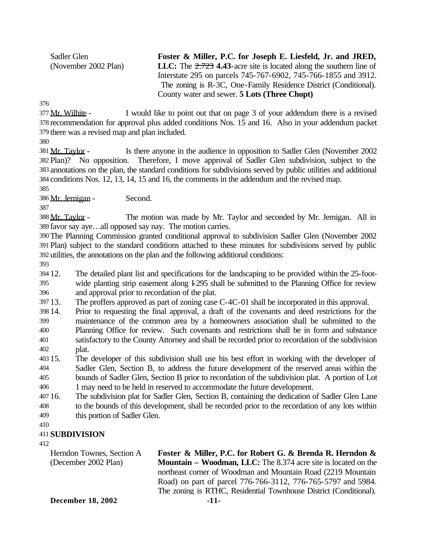Sadler Glen (November 2002 Plan) **Foster & Miller, P.C. for Joseph E. Liesfeld, Jr. and JRED, LLC:** The 2.723 **4.43**-acre site is located along the southern line of Interstate 295 on parcels 745-767-6902, 745-766-1855 and 3912. The zoning is R-3C, One-Family Residence District (Conditional). County water and sewer. **5 Lots (Three Chopt)**

- 377 Mr. Wilhite I would like to point out that on page 3 of your addendum there is a revised recommendation for approval plus added conditions Nos. 15 and 16. Also in your addendum packet there was a revised map and plan included.
- 

 Mr. Taylor - Is there anyone in the audience in opposition to Sadler Glen (November 2002 Plan)? No opposition. Therefore, I move approval of Sadler Glen subdivision, subject to the annotations on the plan, the standard conditions for subdivisions served by public utilities and additional conditions Nos. 12, 13, 14, 15 and 16, the comments in the addendum and the revised map.

Mr. Jernigan - Second.

 Mr. Taylor - The motion was made by Mr. Taylor and seconded by Mr. Jernigan. All in favor say aye…all opposed say nay. The motion carries.

 The Planning Commission granted conditional approval to subdivision Sadler Glen (November 2002 Plan) subject to the standard conditions attached to these minutes for subdivisions served by public utilities, the annotations on the plan and the following additional conditions:

 12. The detailed plant list and specifications for the landscaping to be provided within the 25-foot- wide planting strip easement along I-295 shall be submitted to the Planning Office for review and approval prior to recordation of the plat.

13. The proffers approved as part of zoning case C-4C-01 shall be incorporated in this approval.

 14. Prior to requesting the final approval, a draft of the covenants and deed restrictions for the maintenance of the common area by a homeowners association shall be submitted to the Planning Office for review. Such covenants and restrictions shall be in form and substance satisfactory to the County Attorney and shall be recorded prior to recordation of the subdivision

plat.

 15. The developer of this subdivision shall use his best effort in working with the developer of Sadler Glen, Section B, to address the future development of the reserved areas within the bounds of Sadler Glen, Section B prior to recordation of the subdivision plat. A portion of Lot 1 may need to be held in reserved to accommodate the future development.

 16. The subdivision plat for Sadler Glen, Section B, containing the dedication of Sadler Glen Lane to the bounds of this development, shall be recorded prior to the recordation of any lots within

- this portion of Sadler Glen.
- 

# **SUBDIVISION**

Herndon Townes, Section A (December 2002 Plan)

**Foster & Miller, P.C. for Robert G. & Brenda R. Herndon & Mountain – Woodman, LLC:** The 8.374 acre site is located on the northeast corner of Woodman and Mountain Road (2219 Mountain Road) on part of parcel 776-766-3112, 776-765-5797 and 5984. The zoning is RTHC, Residential Townhouse District (Conditional).

**December 18, 2002** -11-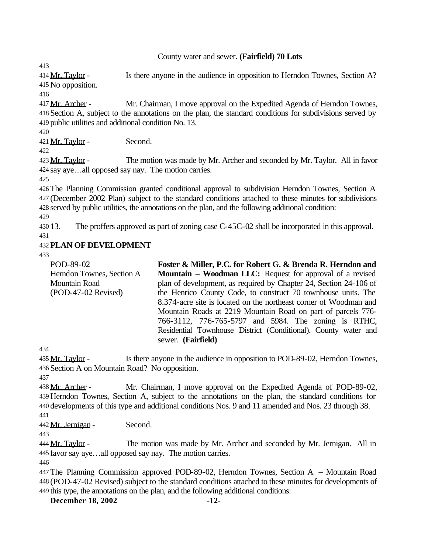### County water and sewer. **(Fairfield) 70 Lots**

414 Mr. Taylor - Is there anyone in the audience in opposition to Herndon Townes, Section A? No opposition.

417 Mr. Archer - Mr. Chairman, I move approval on the Expedited Agenda of Herndon Townes, Section A, subject to the annotations on the plan, the standard conditions for subdivisions served by public utilities and additional condition No. 13.

Mr. Taylor - Second.

423 Mr. Taylor - The motion was made by Mr. Archer and seconded by Mr. Taylor. All in favor say aye…all opposed say nay. The motion carries.

 The Planning Commission granted conditional approval to subdivision Herndon Townes, Section A (December 2002 Plan) subject to the standard conditions attached to these minutes for subdivisions served by public utilities, the annotations on the plan, and the following additional condition:

 13. The proffers approved as part of zoning case C-45C-02 shall be incorporated in this approval. 

# **PLAN OF DEVELOPMENT**

POD-89-02 Herndon Townes, Section A Mountain Road (POD-47-02 Revised) **Foster & Miller, P.C. for Robert G. & Brenda R. Herndon and Mountain – Woodman LLC:** Request for approval of a revised plan of development, as required by Chapter 24, Section 24-106 of the Henrico County Code, to construct 70 townhouse units. The 8.374-acre site is located on the northeast corner of Woodman and Mountain Roads at 2219 Mountain Road on part of parcels 776- 766-3112, 776-765-5797 and 5984. The zoning is RTHC, Residential Townhouse District (Conditional). County water and sewer. **(Fairfield)**

435 Mr. Taylor - Is there anyone in the audience in opposition to POD-89-02, Herndon Townes, Section A on Mountain Road? No opposition.

 Mr. Archer - Mr. Chairman, I move approval on the Expedited Agenda of POD-89-02, Herndon Townes, Section A, subject to the annotations on the plan, the standard conditions for developments of this type and additional conditions Nos. 9 and 11 amended and Nos. 23 through 38. 

Mr. Jernigan - Second.

444 Mr. Taylor - The motion was made by Mr. Archer and seconded by Mr. Jernigan. All in favor say aye…all opposed say nay. The motion carries.

 The Planning Commission approved POD-89-02, Herndon Townes, Section A – Mountain Road (POD-47-02 Revised) subject to the standard conditions attached to these minutes for developments of this type, the annotations on the plan, and the following additional conditions:

**December 18, 2002 -12-**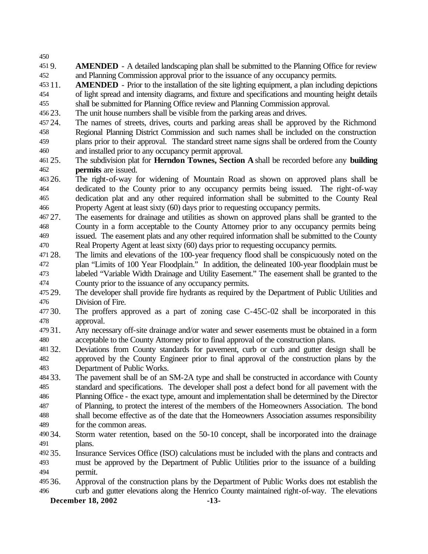- 9. **AMENDED** A detailed landscaping plan shall be submitted to the Planning Office for review and Planning Commission approval prior to the issuance of any occupancy permits.
- 11. **AMENDED** Prior to the installation of the site lighting equipment, a plan including depictions of light spread and intensity diagrams, and fixture and specifications and mounting height details shall be submitted for Planning Office review and Planning Commission approval.
- 23. The unit house numbers shall be visible from the parking areas and drives.
- 24. The names of streets, drives, courts and parking areas shall be approved by the Richmond Regional Planning District Commission and such names shall be included on the construction plans prior to their approval. The standard street name signs shall be ordered from the County and installed prior to any occupancy permit approval.
- 25. The subdivision plat for **Herndon Townes, Section A** shall be recorded before any **building permits** are issued.
- 26. The right-of-way for widening of Mountain Road as shown on approved plans shall be dedicated to the County prior to any occupancy permits being issued. The right-of-way dedication plat and any other required information shall be submitted to the County Real Property Agent at least sixty (60) days prior to requesting occupancy permits.
- 27. The easements for drainage and utilities as shown on approved plans shall be granted to the County in a form acceptable to the County Attorney prior to any occupancy permits being issued. The easement plats and any other required information shall be submitted to the County
- Real Property Agent at least sixty (60) days prior to requesting occupancy permits.
- 28. The limits and elevations of the 100-year frequency flood shall be conspicuously noted on the plan "Limits of 100 Year Floodplain." In addition, the delineated 100-year floodplain must be labeled "Variable Width Drainage and Utility Easement." The easement shall be granted to the County prior to the issuance of any occupancy permits.
- 29. The developer shall provide fire hydrants as required by the Department of Public Utilities and Division of Fire.
- 30. The proffers approved as a part of zoning case C-45C-02 shall be incorporated in this approval.
- 31. Any necessary off-site drainage and/or water and sewer easements must be obtained in a form acceptable to the County Attorney prior to final approval of the construction plans.
- 32. Deviations from County standards for pavement, curb or curb and gutter design shall be approved by the County Engineer prior to final approval of the construction plans by the Department of Public Works.
- 33. The pavement shall be of an SM-2A type and shall be constructed in accordance with County standard and specifications. The developer shall post a defect bond for all pavement with the Planning Office - the exact type, amount and implementation shall be determined by the Director of Planning, to protect the interest of the members of the Homeowners Association. The bond
- shall become effective as of the date that the Homeowners Association assumes responsibility for the common areas.
- 34. Storm water retention, based on the 50-10 concept, shall be incorporated into the drainage plans.
- 35. Insurance Services Office (ISO) calculations must be included with the plans and contracts and must be approved by the Department of Public Utilities prior to the issuance of a building permit.
- 36. Approval of the construction plans by the Department of Public Works does not establish the curb and gutter elevations along the Henrico County maintained right-of-way. The elevations

# **December 18, 2002 -13-**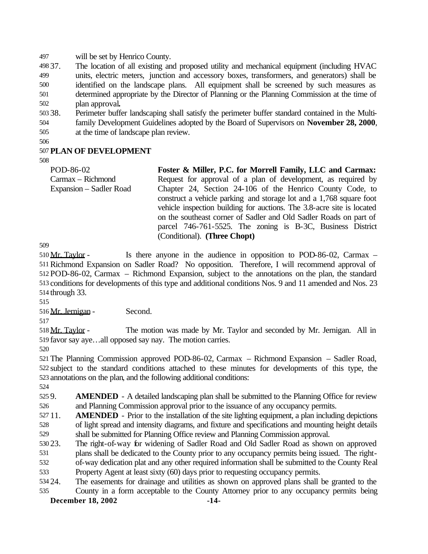will be set by Henrico County.

 37. The location of all existing and proposed utility and mechanical equipment (including HVAC units, electric meters, junction and accessory boxes, transformers, and generators) shall be identified on the landscape plans. All equipment shall be screened by such measures as determined appropriate by the Director of Planning or the Planning Commission at the time of plan approval**.**

38. Perimeter buffer landscaping shall satisfy the perimeter buffer standard contained in the Multi-

family Development Guidelines adopted by the Board of Supervisors on **November 28, 2000**,

at the time of landscape plan review.

## **PLAN OF DEVELOPMENT**

| POD-86-02               | Foster & Miller, P.C. for Morrell Family, LLC and Carmax:              |
|-------------------------|------------------------------------------------------------------------|
| Carmax – Richmond       | Request for approval of a plan of development, as required by          |
| Expansion – Sadler Road | Chapter 24, Section 24-106 of the Henrico County Code, to              |
|                         | construct a vehicle parking and storage lot and a 1,768 square foot    |
|                         | vehicle inspection building for auctions. The 3.8-acre site is located |
|                         | on the southeast corner of Sadler and Old Sadler Roads on part of      |
|                         | parcel 746-761-5525. The zoning is B-3C, Business District             |
|                         | (Conditional). (Three Chopt)                                           |

 Mr. Taylor - Is there anyone in the audience in opposition to POD-86-02, Carmax – Richmond Expansion on Sadler Road? No opposition. Therefore, I will recommend approval of POD-86-02, Carmax – Richmond Expansion, subject to the annotations on the plan, the standard conditions for developments of this type and additional conditions Nos. 9 and 11 amended and Nos. 23 through 33.

516 Mr. Jernigan - Second.

518 Mr. Taylor - The motion was made by Mr. Taylor and seconded by Mr. Jernigan. All in favor say aye…all opposed say nay. The motion carries.

 The Planning Commission approved POD-86-02, Carmax – Richmond Expansion – Sadler Road, subject to the standard conditions attached to these minutes for developments of this type, the annotations on the plan, and the following additional conditions:

 9. **AMENDED** - A detailed landscaping plan shall be submitted to the Planning Office for review and Planning Commission approval prior to the issuance of any occupancy permits.

 11. **AMENDED** - Prior to the installation of the site lighting equipment, a plan including depictions of light spread and intensity diagrams, and fixture and specifications and mounting height details shall be submitted for Planning Office review and Planning Commission approval.

23. The right-of-way for widening of Sadler Road and Old Sadler Road as shown on approved

plans shall be dedicated to the County prior to any occupancy permits being issued. The right-

of-way dedication plat and any other required information shall be submitted to the County Real

- Property Agent at least sixty (60) days prior to requesting occupancy permits.
- 24. The easements for drainage and utilities as shown on approved plans shall be granted to the County in a form acceptable to the County Attorney prior to any occupancy permits being

**December 18, 2002 -14-**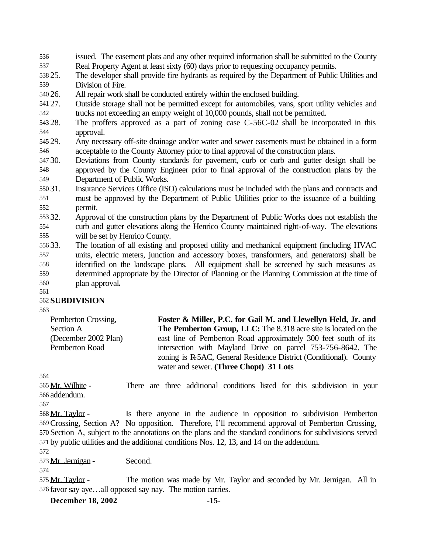issued. The easement plats and any other required information shall be submitted to the County

- Real Property Agent at least sixty (60) days prior to requesting occupancy permits.
- 25. The developer shall provide fire hydrants as required by the Department of Public Utilities and Division of Fire.
- 26. All repair work shall be conducted entirely within the enclosed building.
- 27. Outside storage shall not be permitted except for automobiles, vans, sport utility vehicles and trucks not exceeding an empty weight of 10,000 pounds, shall not be permitted.
- 28. The proffers approved as a part of zoning case C-56C-02 shall be incorporated in this approval.
- 29. Any necessary off-site drainage and/or water and sewer easements must be obtained in a form acceptable to the County Attorney prior to final approval of the construction plans.
- 30. Deviations from County standards for pavement, curb or curb and gutter design shall be approved by the County Engineer prior to final approval of the construction plans by the Department of Public Works.
- 31. Insurance Services Office (ISO) calculations must be included with the plans and contracts and must be approved by the Department of Public Utilities prior to the issuance of a building permit.
- 32. Approval of the construction plans by the Department of Public Works does not establish the curb and gutter elevations along the Henrico County maintained right-of-way. The elevations will be set by Henrico County.
- 33. The location of all existing and proposed utility and mechanical equipment (including HVAC units, electric meters, junction and accessory boxes, transformers, and generators) shall be identified on the landscape plans. All equipment shall be screened by such measures as determined appropriate by the Director of Planning or the Planning Commission at the time of
- plan approval**.**
- 

### **SUBDIVISION**

Pemberton Crossing, Section A (December 2002 Plan) Pemberton Road **Foster & Miller, P.C. for Gail M. and Llewellyn Held, Jr. and The Pemberton Group, LLC:** The 8.318 acre site is located on the east line of Pemberton Road approximately 300 feet south of its intersection with Mayland Drive on parcel 753-756-8642. The zoning is R-5AC, General Residence District (Conditional). County water and sewer. **(Three Chopt) 31 Lots**

565 Mr. Wilhite - There are three additional conditions listed for this subdivision in your addendum.

 Mr. Taylor - Is there anyone in the audience in opposition to subdivision Pemberton Crossing, Section A? No opposition. Therefore, I'll recommend approval of Pemberton Crossing, Section A, subject to the annotations on the plans and the standard conditions for subdivisions served by public utilities and the additional conditions Nos. 12, 13, and 14 on the addendum.

573 Mr. Jernigan - Second.

575 Mr. Taylor - The motion was made by Mr. Taylor and seconded by Mr. Jernigan. All in favor say aye…all opposed say nay. The motion carries.

**December 18, 2002 -15-**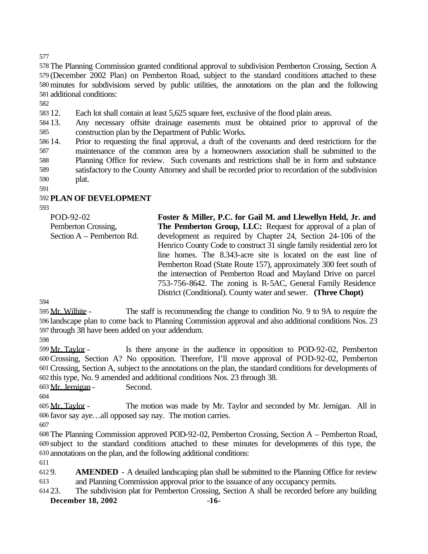The Planning Commission granted conditional approval to subdivision Pemberton Crossing, Section A (December 2002 Plan) on Pemberton Road, subject to the standard conditions attached to these minutes for subdivisions served by public utilities, the annotations on the plan and the following additional conditions:

12. Each lot shall contain at least 5,625 square feet, exclusive of the flood plain areas.

 13. Any necessary offsite drainage easements must be obtained prior to approval of the construction plan by the Department of Public Works.

 14. Prior to requesting the final approval, a draft of the covenants and deed restrictions for the maintenance of the common area by a homeowners association shall be submitted to the Planning Office for review. Such covenants and restrictions shall be in form and substance satisfactory to the County Attorney and shall be recorded prior to recordation of the subdivision plat.

# **PLAN OF DEVELOPMENT**

| Foster & Miller, P.C. for Gail M. and Llewellyn Held, Jr. and          |
|------------------------------------------------------------------------|
| The Pemberton Group, LLC: Request for approval of a plan of            |
| development as required by Chapter 24, Section 24-106 of the           |
| Henrico County Code to construct 31 single family residential zero lot |
| line homes. The 8.343-acre site is located on the east line of         |
| Pemberton Road (State Route 157), approximately 300 feet south of      |
| the intersection of Pemberton Road and Mayland Drive on parcel         |
| 753-756-8642. The zoning is R-5AC, General Family Residence            |
| District (Conditional). County water and sewer. (Three Chopt)          |
|                                                                        |

595 Mr. Wilhite - The staff is recommending the change to condition No. 9 to 9A to require the landscape plan to come back to Planning Commission approval and also additional conditions Nos. 23 through 38 have been added on your addendum.

 Mr. Taylor - Is there anyone in the audience in opposition to POD-92-02, Pemberton Crossing, Section A? No opposition. Therefore, I'll move approval of POD-92-02, Pemberton Crossing, Section A, subject to the annotations on the plan, the standard conditions for developments of this type, No. 9 amended and additional conditions Nos. 23 through 38.

Mr. Jernigan - Second.

 Mr. Taylor - The motion was made by Mr. Taylor and seconded by Mr. Jernigan. All in favor say aye…all opposed say nay. The motion carries.

 The Planning Commission approved POD-92-02, Pemberton Crossing, Section A – Pemberton Road, subject to the standard conditions attached to these minutes for developments of this type, the annotations on the plan, and the following additional conditions:

 9. **AMENDED** - A detailed landscaping plan shall be submitted to the Planning Office for review and Planning Commission approval prior to the issuance of any occupancy permits.

**December 18, 2002 -16-**23. The subdivision plat for Pemberton Crossing, Section A shall be recorded before any building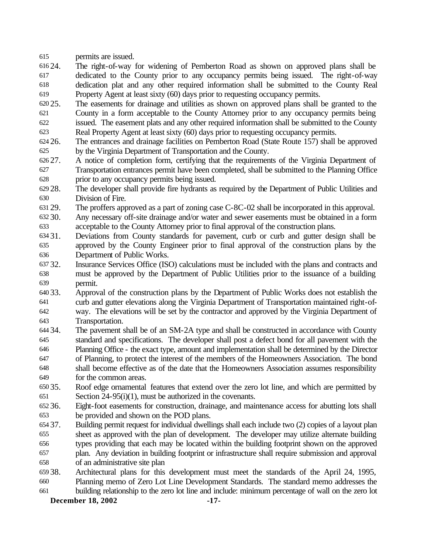permits are issued.

 24. The right-of-way for widening of Pemberton Road as shown on approved plans shall be dedicated to the County prior to any occupancy permits being issued. The right-of-way dedication plat and any other required information shall be submitted to the County Real Property Agent at least sixty (60) days prior to requesting occupancy permits.

 25. The easements for drainage and utilities as shown on approved plans shall be granted to the County in a form acceptable to the County Attorney prior to any occupancy permits being issued. The easement plats and any other required information shall be submitted to the County Real Property Agent at least sixty (60) days prior to requesting occupancy permits.

 26. The entrances and drainage facilities on Pemberton Road (State Route 157) shall be approved by the Virginia Department of Transportation and the County.

27. A notice of completion form, certifying that the requirements of the Virginia Department of

 Transportation entrances permit have been completed, shall be submitted to the Planning Office prior to any occupancy permits being issued.

 28. The developer shall provide fire hydrants as required by the Department of Public Utilities and Division of Fire.

29. The proffers approved as a part of zoning case C-8C-02 shall be incorporated in this approval.

 30. Any necessary off-site drainage and/or water and sewer easements must be obtained in a form acceptable to the County Attorney prior to final approval of the construction plans.

 31. Deviations from County standards for pavement, curb or curb and gutter design shall be approved by the County Engineer prior to final approval of the construction plans by the Department of Public Works.

 32. Insurance Services Office (ISO) calculations must be included with the plans and contracts and must be approved by the Department of Public Utilities prior to the issuance of a building permit.

 33. Approval of the construction plans by the Department of Public Works does not establish the curb and gutter elevations along the Virginia Department of Transportation maintained right-of- way. The elevations will be set by the contractor and approved by the Virginia Department of Transportation.

- 34. The pavement shall be of an SM-2A type and shall be constructed in accordance with County standard and specifications. The developer shall post a defect bond for all pavement with the Planning Office - the exact type, amount and implementation shall be determined by the Director of Planning, to protect the interest of the members of the Homeowners Association. The bond shall become effective as of the date that the Homeowners Association assumes responsibility
- for the common areas.

 35. Roof edge ornamental features that extend over the zero lot line, and which are permitted by Section 24-95(i)(1), must be authorized in the covenants.

 36. Eight-foot easements for construction, drainage, and maintenance access for abutting lots shall be provided and shown on the POD plans.

 37. Building permit request for individual dwellings shall each include two (2) copies of a layout plan sheet as approved with the plan of development. The developer may utilize alternate building types providing that each may be located within the building footprint shown on the approved

plan. Any deviation in building footprint or infrastructure shall require submission and approval

of an administrative site plan

38. Architectural plans for this development must meet the standards of the April 24, 1995,

Planning memo of Zero Lot Line Development Standards. The standard memo addresses the

building relationship to the zero lot line and include: minimum percentage of wall on the zero lot

**December 18, 2002 -17-**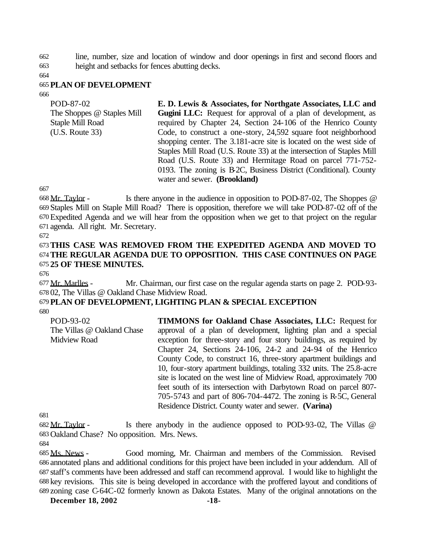662 line, number, size and location of window and door openings in first and second floors and 663 height and setbacks for fences abutting decks.

664

#### 665 **PLAN OF DEVELOPMENT**

666

| POD-87-02                  | E. D. Lewis & Associates, for Northgate Associates, LLC and           |
|----------------------------|-----------------------------------------------------------------------|
| The Shoppes @ Staples Mill | <b>Gugini LLC:</b> Request for approval of a plan of development, as  |
| <b>Staple Mill Road</b>    | required by Chapter 24, Section 24-106 of the Henrico County          |
| (U.S. Route 33)            | Code, to construct a one-story, 24,592 square foot neighborhood       |
|                            | shopping center. The 3.181-acre site is located on the west side of   |
|                            | Staples Mill Road (U.S. Route 33) at the intersection of Staples Mill |
|                            | Road (U.S. Route 33) and Hermitage Road on parcel 771-752-            |
|                            | 0193. The zoning is B-2C, Business District (Conditional). County     |
|                            | water and sewer. (Brookland)                                          |

667

 Mr. Taylor - Is there anyone in the audience in opposition to POD-87-02, The Shoppes @ Staples Mill on Staple Mill Road? There is opposition, therefore we will take POD-87-02 off of the Expedited Agenda and we will hear from the opposition when we get to that project on the regular agenda. All right. Mr. Secretary.

#### 672

## 673**THIS CASE WAS REMOVED FROM THE EXPEDITED AGENDA AND MOVED TO**  674**THE REGULAR AGENDA DUE TO OPPOSITION. THIS CASE CONTINUES ON PAGE**  675 **25 OF THESE MINUTES.**

676

677 Mr. Marlles - Mr. Chairman, our first case on the regular agenda starts on page 2. POD-93- 678 02, The Villas @ Oakland Chase Midview Road.

### 679 **PLAN OF DEVELOPMENT, LIGHTING PLAN & SPECIAL EXCEPTION**

680

| POD-93-02                  | <b>TIMMONS for Oakland Chase Associates, LLC: Request for</b>         |
|----------------------------|-----------------------------------------------------------------------|
| The Villas @ Oakland Chase | approval of a plan of development, lighting plan and a special        |
| Midview Road               | exception for three-story and four story buildings, as required by    |
|                            | Chapter 24, Sections 24-106, 24-2 and 24-94 of the Henrico            |
|                            | County Code, to construct 16, three-story apartment buildings and     |
|                            | 10, four-story apartment buildings, totaling 332 units. The 25.8-acre |
|                            | site is located on the west line of Midview Road, approximately 700   |
|                            | feet south of its intersection with Darbytown Road on parcel 807-     |
|                            | 705-5743 and part of 806-704-4472. The zoning is R-5C, General        |
|                            | Residence District. County water and sewer. (Varina)                  |

681

682 Mr. Taylor - Is there anybody in the audience opposed to POD-93-02, The Villas @ 683 Oakland Chase? No opposition. Mrs. News.

684

 Ms. News - Good morning, Mr. Chairman and members of the Commission. Revised annotated plans and additional conditions for this project have been included in your addendum. All of staff's comments have been addressed and staff can recommend approval. I would like to highlight the key revisions. This site is being developed in accordance with the proffered layout and conditions of zoning case C-64C-02 formerly known as Dakota Estates. Many of the original annotations on the

**December 18, 2002 -18-**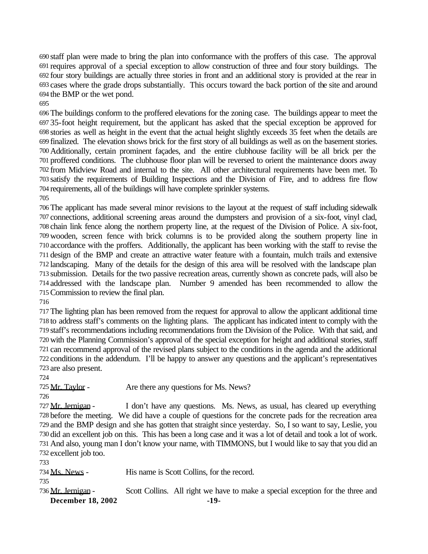staff plan were made to bring the plan into conformance with the proffers of this case. The approval requires approval of a special exception to allow construction of three and four story buildings. The four story buildings are actually three stories in front and an additional story is provided at the rear in cases where the grade drops substantially. This occurs toward the back portion of the site and around the BMP or the wet pond.

 The buildings conform to the proffered elevations for the zoning case. The buildings appear to meet the 35-foot height requirement, but the applicant has asked that the special exception be approved for stories as well as height in the event that the actual height slightly exceeds 35 feet when the details are finalized. The elevation shows brick for the first story of all buildings as well as on the basement stories. Additionally, certain prominent façades, and the entire clubhouse facility will be all brick per the proffered conditions. The clubhouse floor plan will be reversed to orient the maintenance doors away from Midview Road and internal to the site. All other architectural requirements have been met. To satisfy the requirements of Building Inspections and the Division of Fire, and to address fire flow requirements, all of the buildings will have complete sprinkler systems.

 The applicant has made several minor revisions to the layout at the request of staff including sidewalk connections, additional screening areas around the dumpsters and provision of a six-foot, vinyl clad, chain link fence along the northern property line, at the request of the Division of Police. A six-foot, wooden, screen fence with brick columns is to be provided along the southern property line in accordance with the proffers. Additionally, the applicant has been working with the staff to revise the design of the BMP and create an attractive water feature with a fountain, mulch trails and extensive landscaping. Many of the details for the design of this area will be resolved with the landscape plan submission. Details for the two passive recreation areas, currently shown as concrete pads, will also be addressed with the landscape plan. Number 9 amended has been recommended to allow the Commission to review the final plan.

 The lighting plan has been removed from the request for approval to allow the applicant additional time to address staff's comments on the lighting plans. The applicant has indicated intent to comply with the staff's recommendations including recommendations from the Division of the Police. With that said, and with the Planning Commission's approval of the special exception for height and additional stories, staff can recommend approval of the revised plans subject to the conditions in the agenda and the additional conditions in the addendum. I'll be happy to answer any questions and the applicant's representatives are also present.

725 Mr. Taylor - Are there any questions for Ms. News?

727 Mr. Jernigan - I don't have any questions. Ms. News, as usual, has cleared up everything before the meeting. We did have a couple of questions for the concrete pads for the recreation area and the BMP design and she has gotten that straight since yesterday. So, I so want to say, Leslie, you did an excellent job on this. This has been a long case and it was a lot of detail and took a lot of work. And also, young man I don't know your name, with TIMMONS, but I would like to say that you did an excellent job too.

Ms. News - His name is Scott Collins, for the record.

**December 18, 2002** -19-736 Mr. Jernigan - Scott Collins. All right we have to make a special exception for the three and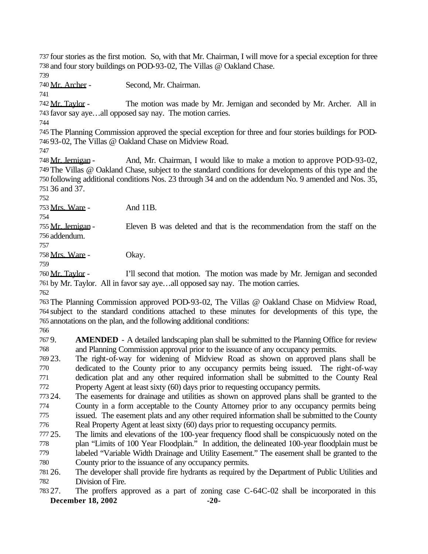four stories as the first motion. So, with that Mr. Chairman, I will move for a special exception for three and four story buildings on POD-93-02, The Villas @ Oakland Chase.

Mr. Archer - Second, Mr. Chairman.

742 Mr. Taylor - The motion was made by Mr. Jernigan and seconded by Mr. Archer. All in favor say aye…all opposed say nay. The motion carries.

 The Planning Commission approved the special exception for three and four stories buildings for POD-93-02, The Villas @ Oakland Chase on Midview Road.

 Mr. Jernigan - And, Mr. Chairman, I would like to make a motion to approve POD-93-02, The Villas @ Oakland Chase, subject to the standard conditions for developments of this type and the following additional conditions Nos. 23 through 34 and on the addendum No. 9 amended and Nos. 35, 36 and 37.

Mrs. Ware - And 11B.

 Mr. Jernigan - Eleven B was deleted and that is the recommendation from the staff on the addendum.

758 Mrs. Ware - Okay.

 Mr. Taylor - I'll second that motion. The motion was made by Mr. Jernigan and seconded by Mr. Taylor. All in favor say aye…all opposed say nay. The motion carries.

 The Planning Commission approved POD-93-02, The Villas @ Oakland Chase on Midview Road, subject to the standard conditions attached to these minutes for developments of this type, the annotations on the plan, and the following additional conditions:

 9. **AMENDED** - A detailed landscaping plan shall be submitted to the Planning Office for review and Planning Commission approval prior to the issuance of any occupancy permits.

 23. The right-of-way for widening of Midview Road as shown on approved plans shall be dedicated to the County prior to any occupancy permits being issued. The right-of-way dedication plat and any other required information shall be submitted to the County Real Property Agent at least sixty (60) days prior to requesting occupancy permits.

 24. The easements for drainage and utilities as shown on approved plans shall be granted to the County in a form acceptable to the County Attorney prior to any occupancy permits being issued. The easement plats and any other required information shall be submitted to the County

Real Property Agent at least sixty (60) days prior to requesting occupancy permits.

 25. The limits and elevations of the 100-year frequency flood shall be conspicuously noted on the plan "Limits of 100 Year Floodplain." In addition, the delineated 100-year floodplain must be labeled "Variable Width Drainage and Utility Easement." The easement shall be granted to the County prior to the issuance of any occupancy permits.

 26. The developer shall provide fire hydrants as required by the Department of Public Utilities and Division of Fire.

# **December 18, 2002** -20-27. The proffers approved as a part of zoning case C-64C-02 shall be incorporated in this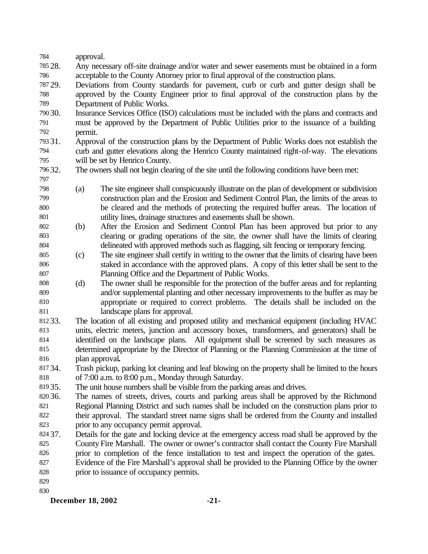approval.

- 28. Any necessary off-site drainage and/or water and sewer easements must be obtained in a form acceptable to the County Attorney prior to final approval of the construction plans.
- 29. Deviations from County standards for pavement, curb or curb and gutter design shall be approved by the County Engineer prior to final approval of the construction plans by the Department of Public Works.
- 30. Insurance Services Office (ISO) calculations must be included with the plans and contracts and must be approved by the Department of Public Utilities prior to the issuance of a building permit.
- 31. Approval of the construction plans by the Department of Public Works does not establish the curb and gutter elevations along the Henrico County maintained right-of-way. The elevations will be set by Henrico County.
- 32. The owners shall not begin clearing of the site until the following conditions have been met:
- (a) The site engineer shall conspicuously illustrate on the plan of development or subdivision construction plan and the Erosion and Sediment Control Plan, the limits of the areas to be cleared and the methods of protecting the required buffer areas. The location of utility lines, drainage structures and easements shall be shown.
- (b) After the Erosion and Sediment Control Plan has been approved but prior to any clearing or grading operations of the site, the owner shall have the limits of clearing delineated with approved methods such as flagging, silt fencing or temporary fencing.
- (c) The site engineer shall certify in writing to the owner that the limits of clearing have been staked in accordance with the approved plans. A copy of this letter shall be sent to the Planning Office and the Department of Public Works.

 (d) The owner shall be responsible for the protection of the buffer areas and for replanting and/or supplemental planting and other necessary improvements to the buffer as may be appropriate or required to correct problems. The details shall be included on the landscape plans for approval.

- 33. The location of all existing and proposed utility and mechanical equipment (including HVAC units, electric meters, junction and accessory boxes, transformers, and generators) shall be identified on the landscape plans. All equipment shall be screened by such measures as determined appropriate by the Director of Planning or the Planning Commission at the time of plan approval**.**
- 34. Trash pickup, parking lot cleaning and leaf blowing on the property shall be limited to the hours of 7:00 a.m. to 8:00 p.m., Monday through Saturday.
- 35. The unit house numbers shall be visible from the parking areas and drives.
- 36. The names of streets, drives, courts and parking areas shall be approved by the Richmond Regional Planning District and such names shall be included on the construction plans prior to their approval. The standard street name signs shall be ordered from the County and installed prior to any occupancy permit approval.
- 37. Details for the gate and locking device at the emergency access road shall be approved by the County Fire Marshall. The owner or owner's contractor shall contact the County Fire Marshall prior to completion of the fence installation to test and inspect the operation of the gates.
- Evidence of the Fire Marshall's approval shall be provided to the Planning Office by the owner
- prior to issuance of occupancy permits.
- 
- 

**December 18, 2002** -21-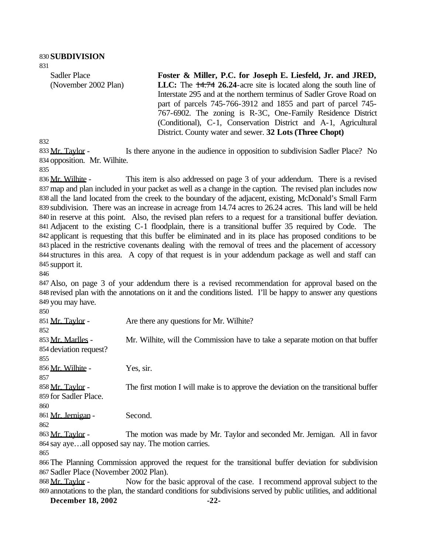Sadler Place (November 2002 Plan) **Foster & Miller, P.C. for Joseph E. Liesfeld, Jr. and JRED, LLC:** The 14.74 **26.24**-acre site is located along the south line of Interstate 295 and at the northern terminus of Sadler Grove Road on part of parcels 745-766-3912 and 1855 and part of parcel 745- 767-6902. The zoning is R-3C, One-Family Residence District (Conditional), C-1, Conservation District and A-1, Agricultural District. County water and sewer. **32 Lots (Three Chopt)**

833 Mr. Taylor - Is there anyone in the audience in opposition to subdivision Sadler Place? No opposition. Mr. Wilhite.

836 Mr. Wilhite - This item is also addressed on page 3 of your addendum. There is a revised map and plan included in your packet as well as a change in the caption. The revised plan includes now all the land located from the creek to the boundary of the adjacent, existing, McDonald's Small Farm subdivision. There was an increase in acreage from 14.74 acres to 26.24 acres. This land will be held in reserve at this point. Also, the revised plan refers to a request for a transitional buffer deviation. Adjacent to the existing C-1 floodplain, there is a transitional buffer 35 required by Code. The applicant is requesting that this buffer be eliminated and in its place has proposed conditions to be placed in the restrictive covenants dealing with the removal of trees and the placement of accessory structures in this area. A copy of that request is in your addendum package as well and staff can support it.

 Also, on page 3 of your addendum there is a revised recommendation for approval based on the revised plan with the annotations on it and the conditions listed. I'll be happy to answer any questions you may have.

 851 Mr. Taylor - Are there any questions for Mr. Wilhite? Mr. Marlles - Mr. Wilhite, will the Commission have to take a separate motion on that buffer deviation request? Mr. Wilhite - Yes, sir. 858 Mr. Taylor - The first motion I will make is to approve the deviation on the transitional buffer for Sadler Place. Mr. Jernigan - Second. 863 Mr. Taylor - The motion was made by Mr. Taylor and seconded Mr. Jernigan. All in favor

 say aye…all opposed say nay. The motion carries. 

 The Planning Commission approved the request for the transitional buffer deviation for subdivision Sadler Place (November 2002 Plan).

868 Mr. Taylor - Now for the basic approval of the case. I recommend approval subject to the annotations to the plan, the standard conditions for subdivisions served by public utilities, and additional

**December 18, 2002 -22-**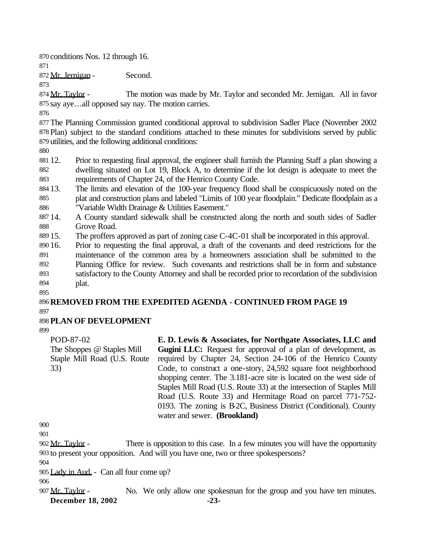conditions Nos. 12 through 16.

Mr. Jernigan - Second.

874 Mr. Taylor - The motion was made by Mr. Taylor and seconded Mr. Jernigan. All in favor say aye…all opposed say nay. The motion carries.

 The Planning Commission granted conditional approval to subdivision Sadler Place (November 2002 Plan) subject to the standard conditions attached to these minutes for subdivisions served by public utilities, and the following additional conditions:

- 
- 12. Prior to requesting final approval, the engineer shall furnish the Planning Staff a plan showing a dwelling situated on Lot 19, Block A, to determine if the lot design is adequate to meet the requirements of Chapter 24, of the Henrico County Code.
- 13. The limits and elevation of the 100-year frequency flood shall be conspicuously noted on the plat and construction plans and labeled "Limits of 100 year floodplain." Dedicate floodplain as a "Variable Width Drainage & Utilities Easement."
- 14. A County standard sidewalk shall be constructed along the north and south sides of Sadler Grove Road.
- 15. The proffers approved as part of zoning case C-4C-01 shall be incorporated in this approval.
- 16. Prior to requesting the final approval, a draft of the covenants and deed restrictions for the maintenance of the common area by a homeowners association shall be submitted to the Planning Office for review. Such covenants and restrictions shall be in form and substance satisfactory to the County Attorney and shall be recorded prior to recordation of the subdivision
- plat.
- 

# **REMOVED FROM THE EXPEDITED AGENDA - CONTINUED FROM PAGE 19**

# **PLAN OF DEVELOPMENT**

POD-87-02 The Shoppes @ Staples Mill Staple Mill Road (U.S. Route 33) **E. D. Lewis & Associates, for Northgate Associates, LLC and Gugini LLC:** Request for approval of a plan of development, as required by Chapter 24, Section 24-106 of the Henrico County Code, to construct a one-story, 24,592 square foot neighborhood shopping center. The 3.181-acre site is located on the west side of Staples Mill Road (U.S. Route 33) at the intersection of Staples Mill Road (U.S. Route 33) and Hermitage Road on parcel 771-752- 0193. The zoning is B-2C, Business District (Conditional). County water and sewer. **(Brookland)**

 

902 Mr. Taylor - There is opposition to this case. In a few minutes you will have the opportunity to present your opposition. And will you have one, two or three spokespersons?

Lady in Aud. - Can all four come up?

**December 18, 2002** -23-907 Mr. Taylor - No. We only allow one spokesman for the group and you have ten minutes.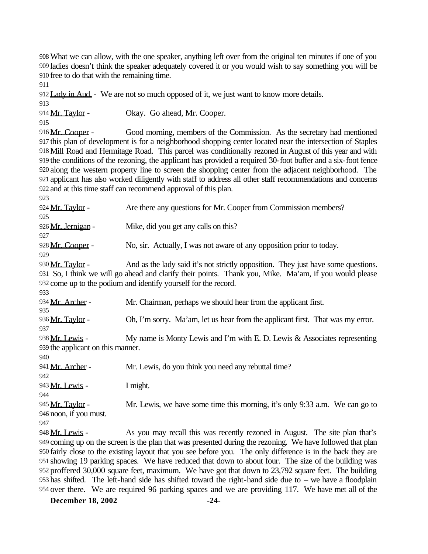What we can allow, with the one speaker, anything left over from the original ten minutes if one of you ladies doesn't think the speaker adequately covered it or you would wish to say something you will be free to do that with the remaining time.

Lady in Aud. - We are not so much opposed of it, we just want to know more details.

914 Mr. Taylor - Okay. Go ahead, Mr. Cooper.

 Mr. Cooper - Good morning, members of the Commission. As the secretary had mentioned this plan of development is for a neighborhood shopping center located near the intersection of Staples Mill Road and Hermitage Road. This parcel was conditionally rezoned in August of this year and with the conditions of the rezoning, the applicant has provided a required 30-foot buffer and a six-foot fence along the western property line to screen the shopping center from the adjacent neighborhood. The applicant has also worked diligently with staff to address all other staff recommendations and concerns

and at this time staff can recommend approval of this plan.

924 Mr. Taylor - Are there any questions for Mr. Cooper from Commission members? 926 Mr. Jernigan - Mike, did you get any calls on this? 928 Mr. Cooper - No, sir. Actually, I was not aware of any opposition prior to today. 930 Mr. Taylor - And as the lady said it's not strictly opposition. They just have some questions. So, I think we will go ahead and clarify their points. Thank you, Mike. Ma'am, if you would please come up to the podium and identify yourself for the record. Mr. Archer - Mr. Chairman, perhaps we should hear from the applicant first. 936 Mr. Taylor - Oh, I'm sorry. Ma'am, let us hear from the applicant first. That was my error. 938 Mr. Lewis - My name is Monty Lewis and I'm with E. D. Lewis & Associates representing the applicant on this manner. 941 Mr. Archer - Mr. Lewis, do you think you need any rebuttal time? Mr. Lewis - I might. 945 Mr. Taylor - Mr. Lewis, we have some time this morning, it's only 9:33 a.m. We can go to noon, if you must. 948 Mr. Lewis - As you may recall this was recently rezoned in August. The site plan that's coming up on the screen is the plan that was presented during the rezoning. We have followed that plan

 fairly close to the existing layout that you see before you. The only difference is in the back they are showing 19 parking spaces. We have reduced that down to about four. The size of the building was proffered 30,000 square feet, maximum. We have got that down to 23,792 square feet. The building has shifted. The left-hand side has shifted toward the right-hand side due to – we have a floodplain over there. We are required 96 parking spaces and we are providing 117. We have met all of the

**December 18, 2002 -24-**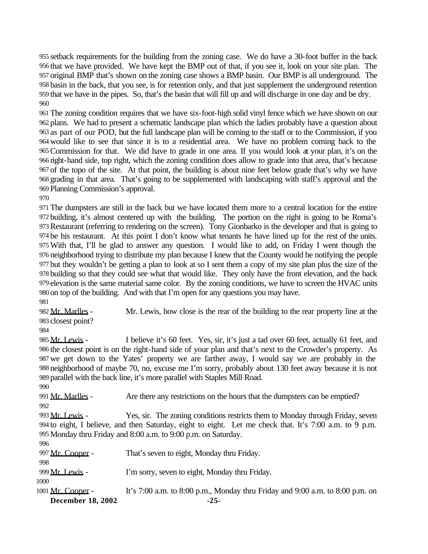setback requirements for the building from the zoning case. We do have a 30-foot buffer in the back that we have provided. We have kept the BMP out of that, if you see it, look on your site plan. The original BMP that's shown on the zoning case shows a BMP basin. Our BMP is all underground. The basin in the back, that you see, is for retention only, and that just supplement the underground retention that we have in the pipes. So, that's the basin that will fill up and will discharge in one day and be dry. 

 The zoning condition requires that we have six-foot-high solid vinyl fence which we have shown on our plans. We had to present a schematic landscape plan which the ladies probably have a question about as part of our POD, but the full landscape plan will be coming to the staff or to the Commission, if you would like to see that since it is to a residential area. We have no problem coming back to the Commission for that. We did have to grade in one area. If you would look at your plan, it's on the right-hand side, top right, which the zoning condition does allow to grade into that area, that's because of the topo of the site. At that point, the building is about nine feet below grade that's why we have grading in that area. That's going to be supplemented with landscaping with staff's approval and the Planning Commission's approval.

 The dumpsters are still in the back but we have located them more to a central location for the entire building, it's almost centered up with the building. The portion on the right is going to be Roma's Restaurant (referring to rendering on the screen). Tony Gionbarko is the developer and that is going to be his restaurant. At this point I don't know what tenants he have lined up for the rest of the units. With that, I'll be glad to answer any question. I would like to add, on Friday I went though the neighborhood trying to distribute my plan because I knew that the County would be notifying the people but they wouldn't be getting a plan to look at so I sent them a copy of my site plan plus the size of the building so that they could see what that would like. They only have the front elevation, and the back elevation is the same material same color. By the zoning conditions, we have to screen the HVAC units on top of the building. And with that I'm open for any questions you may have. 

982 Mr. Marlles - Mr. Lewis, how close is the rear of the building to the rear property line at the closest point?

985 Mr. Lewis - I believe it's 60 feet. Yes, sir, it's just a tad over 60 feet, actually 61 feet, and the closest point is on the right-hand side of your plan and that's next to the Crowder's property. As we get down to the Yates' property we are farther away, I would say we are probably in the neighborhood of maybe 70, no, excuse me I'm sorry, probably about 130 feet away because it is not parallel with the back line, it's more parallel with Staples Mill Road. 

991 Mr. Marlles - Are there any restrictions on the hours that the dumpsters can be emptied?

993 Mr. Lewis - Yes, sir. The zoning conditions restricts them to Monday through Friday, seven to eight, I believe, and then Saturday, eight to eight. Let me check that. It's 7:00 a.m. to 9 p.m. Monday thru Friday and 8:00 a.m. to 9:00 p.m. on Saturday.

| ۰.<br>۰.<br>٦        |  |
|----------------------|--|
| ۰.<br>۰,<br>۰.<br>., |  |

| <b>December 18, 2002</b> | $-25-$                                                                        |
|--------------------------|-------------------------------------------------------------------------------|
| 1001 Mr. Cooper -        | It's 7:00 a.m. to 8:00 p.m., Monday thru Friday and 9:00 a.m. to 8:00 p.m. on |
| 1000                     |                                                                               |
| 999 <u>Mr. Lewis</u> -   | I'm sorry, seven to eight, Monday thru Friday.                                |
| 998                      |                                                                               |
| 997 Mr. Cooper -         | That's seven to eight, Monday thru Friday.                                    |
|                          |                                                                               |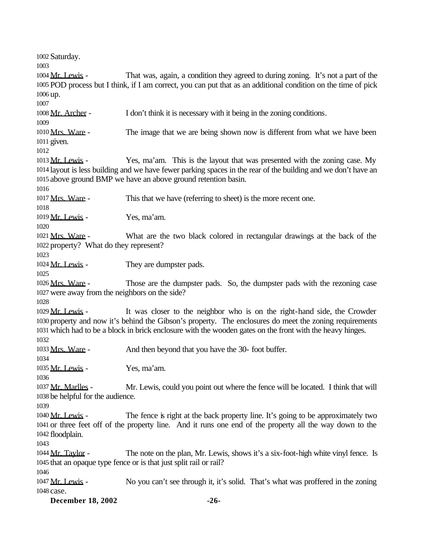**December 18, 2002** -26- Saturday. Mr. Lewis - That was, again, a condition they agreed to during zoning. It's not a part of the POD process but I think, if I am correct, you can put that as an additional condition on the time of pick up. 1008 Mr. Archer - I don't think it is necessary with it being in the zoning conditions. 1010 Mrs. Ware - The image that we are being shown now is different from what we have been given. Mr. Lewis - Yes, ma'am. This is the layout that was presented with the zoning case. My layout is less building and we have fewer parking spaces in the rear of the building and we don't have an above ground BMP we have an above ground retention basin. 1017 Mrs. Ware - This that we have (referring to sheet) is the more recent one. Mr. Lewis - Yes, ma'am. Mrs. Ware - What are the two black colored in rectangular drawings at the back of the property? What do they represent? 1024 Mr. Lewis - They are dumpster pads. 1026 Mrs. Ware - Those are the dumpster pads. So, the dumpster pads with the rezoning case were away from the neighbors on the side? 1029 Mr. Lewis - It was closer to the neighbor who is on the right-hand side, the Crowder property and now it's behind the Gibson's property. The enclosures do meet the zoning requirements which had to be a block in brick enclosure with the wooden gates on the front with the heavy hinges. 1033 Mrs. Ware - And then beyond that you have the 30- foot buffer. Mr. Lewis - Yes, ma'am. 1037 Mr. Marlles - Mr. Lewis, could you point out where the fence will be located. I think that will be helpful for the audience. 1040 Mr. Lewis - The fence is right at the back property line. It's going to be approximately two or three feet off of the property line. And it runs one end of the property all the way down to the floodplain. 1044 Mr. Taylor - The note on the plan, Mr. Lewis, shows it's a six-foot-high white vinyl fence. Is that an opaque type fence or is that just split rail or rail? Mr. Lewis - No you can't see through it, it's solid. That's what was proffered in the zoning case.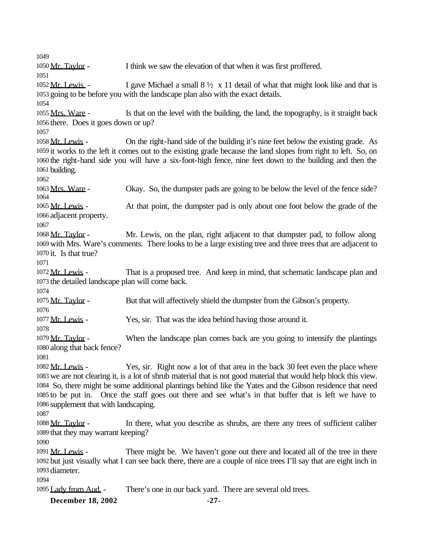1050 Mr. Taylor - I think we saw the elevation of that when it was first proffered. 1052 Mr. Lewis - I gave Michael a small  $8\frac{1}{2} \times 11$  detail of what that might look like and that is going to be before you with the landscape plan also with the exact details. 1055 Mrs. Ware - Is that on the level with the building, the land, the topography, is it straight back there. Does it goes down or up? Mr. Lewis - On the right-hand side of the building it's nine feet below the existing grade. As it works to the left it comes out to the existing grade because the land slopes from right to left. So, on the right-hand side you will have a six-foot-high fence, nine feet down to the building and then the building. Mrs. Ware - Okay. So, the dumpster pads are going to be below the level of the fence side? 1065 Mr. Lewis - At that point, the dumpster pad is only about one foot below the grade of the adjacent property. Mr. Taylor - Mr. Lewis, on the plan, right adjacent to that dumpster pad, to follow along with Mrs. Ware's comments. There looks to be a large existing tree and three trees that are adjacent to it. Is that true? 1072 Mr. Lewis - That is a proposed tree. And keep in mind, that schematic landscape plan and the detailed landscape plan will come back. Mr. Taylor - But that will affectively shield the dumpster from the Gibson's property. 1077 Mr. Lewis - Yes, sir. That was the idea behind having those around it. 1079 Mr. Taylor - When the landscape plan comes back are you going to intensify the plantings along that back fence? Mr. Lewis - Yes, sir. Right now a lot of that area in the back 30 feet even the place where we are not clearing it, is a lot of shrub material that is not good material that would help block this view. So, there might be some additional plantings behind like the Yates and the Gibson residence that need to be put in. Once the staff goes out there and see what's in that buffer that is left we have to supplement that with landscaping. 1088 Mr. Taylor - In there, what you describe as shrubs, are there any trees of sufficient caliber that they may warrant keeping? 1091 Mr. Lewis - There might be. We haven't gone out there and located all of the tree in there but just visually what I can see back there, there are a couple of nice trees I'll say that are eight inch in diameter. 1095 Lady from Aud. - There's one in our back yard. There are several old trees.

**December 18, 2002 -27-**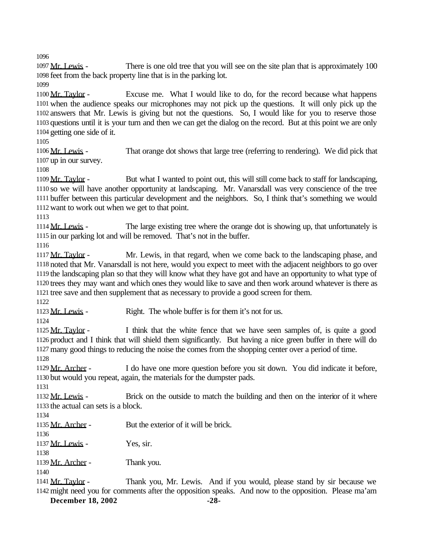1097 Mr. Lewis - There is one old tree that you will see on the site plan that is approximately 100 feet from the back property line that is in the parking lot.

1100 Mr. Taylor - Excuse me. What I would like to do, for the record because what happens when the audience speaks our microphones may not pick up the questions. It will only pick up the answers that Mr. Lewis is giving but not the questions. So, I would like for you to reserve those questions until it is your turn and then we can get the dialog on the record. But at this point we are only getting one side of it.

 Mr. Lewis - That orange dot shows that large tree (referring to rendering). We did pick that up in our survey.

1109 Mr. Taylor - But what I wanted to point out, this will still come back to staff for landscaping, so we will have another opportunity at landscaping. Mr. Vanarsdall was very conscience of the tree buffer between this particular development and the neighbors. So, I think that's something we would want to work out when we get to that point.

1114 Mr. Lewis - The large existing tree where the orange dot is showing up, that unfortunately is in our parking lot and will be removed. That's not in the buffer.

1117 Mr. Taylor - Mr. Lewis, in that regard, when we come back to the landscaping phase, and noted that Mr. Vanarsdall is not here, would you expect to meet with the adjacent neighbors to go over the landscaping plan so that they will know what they have got and have an opportunity to what type of trees they may want and which ones they would like to save and then work around whatever is there as tree save and then supplement that as necessary to provide a good screen for them.

1123 Mr. Lewis - Right. The whole buffer is for them it's not for us.

1125 Mr. Taylor - I think that the white fence that we have seen samples of, is quite a good product and I think that will shield them significantly. But having a nice green buffer in there will do many good things to reducing the noise the comes from the shopping center over a period of time.

1129 Mr. Archer - I do have one more question before you sit down. You did indicate it before, but would you repeat, again, the materials for the dumpster pads.

1132 Mr. Lewis - Brick on the outside to match the building and then on the interior of it where the actual can sets is a block.

Mr. Archer - But the exterior of it will be brick.

Mr. Lewis - Yes, sir.

1139 Mr. Archer - Thank you.

1141 Mr. Taylor - Thank you, Mr. Lewis. And if you would, please stand by sir because we might need you for comments after the opposition speaks. And now to the opposition. Please ma'am

**December 18, 2002 -28-**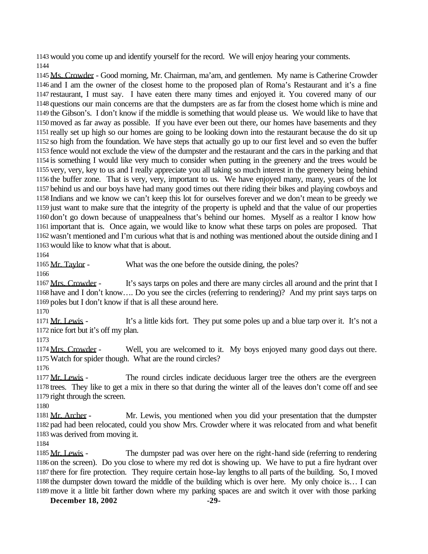would you come up and identify yourself for the record. We will enjoy hearing your comments. 

 Ms. Crowder - Good morning, Mr. Chairman, ma'am, and gentlemen. My name is Catherine Crowder and I am the owner of the closest home to the proposed plan of Roma's Restaurant and it's a fine restaurant, I must say. I have eaten there many times and enjoyed it. You covered many of our questions our main concerns are that the dumpsters are as far from the closest home which is mine and the Gibson's. I don't know if the middle is something that would please us. We would like to have that moved as far away as possible. If you have ever been out there, our homes have basements and they really set up high so our homes are going to be looking down into the restaurant because the do sit up so high from the foundation. We have steps that actually go up to our first level and so even the buffer fence would not exclude the view of the dumpster and the restaurant and the cars in the parking and that is something I would like very much to consider when putting in the greenery and the trees would be very, very, key to us and I really appreciate you all taking so much interest in the greenery being behind the buffer zone. That is very, very, important to us. We have enjoyed many, many, years of the lot behind us and our boys have had many good times out there riding their bikes and playing cowboys and Indians and we know we can't keep this lot for ourselves forever and we don't mean to be greedy we just want to make sure that the integrity of the property is upheld and that the value of our properties don't go down because of unappealness that's behind our homes. Myself as a realtor I know how important that is. Once again, we would like to know what these tarps on poles are proposed. That wasn't mentioned and I'm curious what that is and nothing was mentioned about the outside dining and I would like to know what that is about.

1165 Mr. Taylor - What was the one before the outside dining, the poles?

1167 Mrs. Crowder - It's says tarps on poles and there are many circles all around and the print that I have and I don't know…. Do you see the circles (referring to rendering)? And my print says tarps on poles but I don't know if that is all these around here.

1171 Mr. Lewis - It's a little kids fort. They put some poles up and a blue tarp over it. It's not a nice fort but it's off my plan.

1174 Mrs. Crowder - Well, you are welcomed to it. My boys enjoyed many good days out there. Watch for spider though. What are the round circles?

1177 Mr. Lewis - The round circles indicate deciduous larger tree the others are the evergreen trees. They like to get a mix in there so that during the winter all of the leaves don't come off and see right through the screen.

1181 Mr. Archer - Mr. Lewis, you mentioned when you did your presentation that the dumpster pad had been relocated, could you show Mrs. Crowder where it was relocated from and what benefit was derived from moving it.

1185 Mr. Lewis - The dumpster pad was over here on the right-hand side (referring to rendering on the screen). Do you close to where my red dot is showing up. We have to put a fire hydrant over there for fire protection. They require certain hose-lay lengths to all parts of the building. So, I moved the dumpster down toward the middle of the building which is over here. My only choice is… I can move it a little bit farther down where my parking spaces are and switch it over with those parking

**December 18, 2002** -29-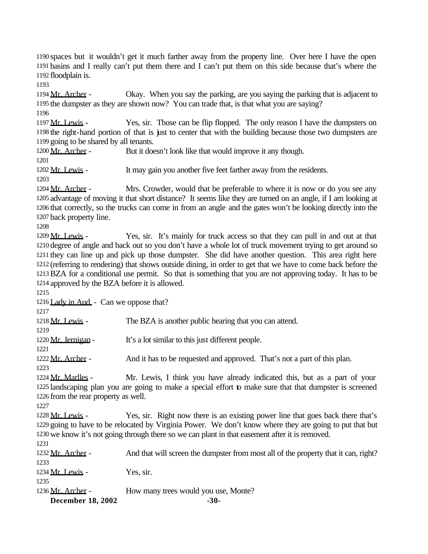spaces but it wouldn't get it much farther away from the property line. Over here I have the open basins and I really can't put them there and I can't put them on this side because that's where the floodplain is.

1194 Mr. Archer - Okay. When you say the parking, are you saying the parking that is adjacent to the dumpster as they are shown now? You can trade that, is that what you are saying?

1197 Mr. Lewis - Yes, sir. Those can be flip flopped. The only reason I have the dumpsters on the right-hand portion of that is just to center that with the building because those two dumpsters are going to be shared by all tenants.

1200 Mr. Archer - But it doesn't look like that would improve it any though.

1202 Mr. Lewis - It may gain you another five feet farther away from the residents.

1204 Mr. Archer - Mrs. Crowder, would that be preferable to where it is now or do you see any advantage of moving it that short distance? It seems like they are turned on an angle, if I am looking at that correctly, so the trucks can come in from an angle and the gates won't be looking directly into the back property line.

 Mr. Lewis - Yes, sir. It's mainly for truck access so that they can pull in and out at that degree of angle and back out so you don't have a whole lot of truck movement trying to get around so they can line up and pick up those dumpster. She did have another question. This area right here (referring to rendering) that shows outside dining, in order to get that we have to come back before the BZA for a conditional use permit. So that is something that you are not approving today. It has to be approved by the BZA before it is allowed.

1216 Lady in Aud. - Can we oppose that?

1218 Mr. Lewis - The BZA is another public hearing that you can attend.

1220 Mr. Jernigan - It's a lot similar to this just different people.

1222 Mr. Archer - And it has to be requested and approved. That's not a part of this plan.

1224 Mr. Marlles - Mr. Lewis, I think you have already indicated this, but as a part of your landscaping plan you are going to make a special effort to make sure that that dumpster is screened from the rear property as well.

1228 Mr. Lewis - Yes, sir. Right now there is an existing power line that goes back there that's going to have to be relocated by Virginia Power. We don't know where they are going to put that but we know it's not going through there so we can plant in that easement after it is removed.

**December 18, 2002** -30-1232 Mr. Archer - And that will screen the dumpster from most all of the property that it can, right?  $1234 \, Mr. Lewis -$  Yes, sir. 1236 Mr. Archer - How many trees would you use, Monte?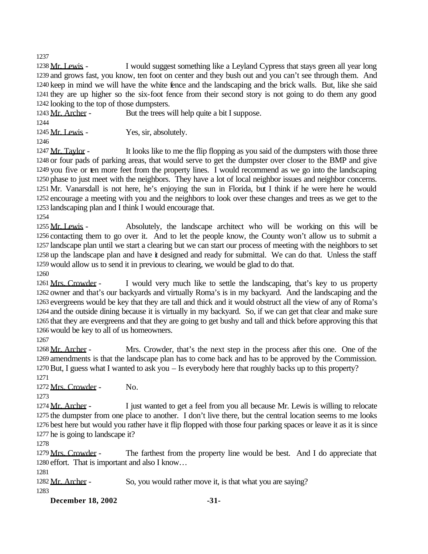Mr. Lewis - I would suggest something like a Leyland Cypress that stays green all year long and grows fast, you know, ten foot on center and they bush out and you can't see through them. And keep in mind we will have the white fence and the landscaping and the brick walls. But, like she said they are up higher so the six-foot fence from their second story is not going to do them any good looking to the top of those dumpsters.

1243 Mr. Archer - But the trees will help quite a bit I suppose. 1245 Mr. Lewis - Yes, sir, absolutely. 

1247 Mr. Taylor - It looks like to me the flip flopping as you said of the dumpsters with those three or four pads of parking areas, that would serve to get the dumpster over closer to the BMP and give you five or ten more feet from the property lines. I would recommend as we go into the landscaping phase to just meet with the neighbors. They have a lot of local neighbor issues and neighbor concerns. Mr. Vanarsdall is not here, he's enjoying the sun in Florida, but I think if he were here he would encourage a meeting with you and the neighbors to look over these changes and trees as we get to the landscaping plan and I think I would encourage that.

1255 Mr. Lewis - Absolutely, the landscape architect who will be working on this will be contacting them to go over it. And to let the people know, the County won't allow us to submit a landscape plan until we start a clearing but we can start our process of meeting with the neighbors to set up the landscape plan and have it designed and ready for submittal. We can do that. Unless the staff would allow us to send it in previous to clearing, we would be glad to do that. 

 Mrs. Crowder - I would very much like to settle the landscaping, that's key to us property owner and that's our backyards and virtually Roma's is in my backyard. And the landscaping and the evergreens would be key that they are tall and thick and it would obstruct all the view of any of Roma's and the outside dining because it is virtually in my backyard. So, if we can get that clear and make sure that they are evergreens and that they are going to get bushy and tall and thick before approving this that would be key to all of us homeowners.

1268 Mr. Archer - Mrs. Crowder, that's the next step in the process after this one. One of the amendments is that the landscape plan has to come back and has to be approved by the Commission. But, I guess what I wanted to ask you – Is everybody here that roughly backs up to this property? 

Mrs. Crowder - No.

1274 Mr. Archer - I just wanted to get a feel from you all because Mr. Lewis is willing to relocate the dumpster from one place to another. I don't live there, but the central location seems to me looks best here but would you rather have it flip flopped with those four parking spaces or leave it as it is since he is going to landscape it?

1279 Mrs. Crowder - The farthest from the property line would be best. And I do appreciate that effort. That is important and also I know…

1282 Mr. Archer - So, you would rather move it, is that what you are saying?

**December 18, 2002** -31-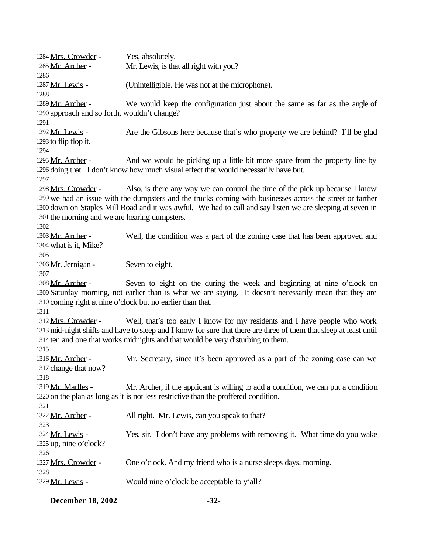| 1284 Mrs. Crowder -<br>1285 Mr. Archer -<br>1286                                         | Yes, absolutely.<br>Mr. Lewis, is that all right with you?                                                                                                                                                                                                                                               |
|------------------------------------------------------------------------------------------|----------------------------------------------------------------------------------------------------------------------------------------------------------------------------------------------------------------------------------------------------------------------------------------------------------|
| 1287 Mr. Lewis -<br>1288                                                                 | (Unintelligible. He was not at the microphone).                                                                                                                                                                                                                                                          |
| 1289 Mr. Archer -<br>1290 approach and so forth, wouldn't change?<br>1291                | We would keep the configuration just about the same as far as the angle of                                                                                                                                                                                                                               |
| 1292 Mr. Lewis -<br>1293 to flip flop it.<br>1294                                        | Are the Gibsons here because that's who property we are behind? I'll be glad                                                                                                                                                                                                                             |
| 1295 Mr. Archer -<br>1297                                                                | And we would be picking up a little bit more space from the property line by<br>1296 doing that. I don't know how much visual effect that would necessarily have but.                                                                                                                                    |
| 1298 Mrs. Crowder -<br>1301 the morning and we are hearing dumpsters.<br>1302            | Also, is there any way we can control the time of the pick up because I know<br>1299 we had an issue with the dumpsters and the trucks coming with businesses across the street or farther<br>1300 down on Staples Mill Road and it was awful. We had to call and say listen we are sleeping at seven in |
| 1303 Mr. Archer -<br>1304 what is it, Mike?<br>1305                                      | Well, the condition was a part of the zoning case that has been approved and                                                                                                                                                                                                                             |
| 1306 Mr. Jernigan -<br>1307                                                              | Seven to eight.                                                                                                                                                                                                                                                                                          |
| 1308 Mr. Archer -<br>1310 coming right at nine o'clock but no earlier than that.<br>1311 | Seven to eight on the during the week and beginning at nine o'clock on<br>1309 Saturday morning, not earlier than is what we are saying. It doesn't necessarily mean that they are                                                                                                                       |
| 1312 Mrs. Crowder -<br>1315                                                              | Well, that's too early I know for my residents and I have people who work<br>1313 mid-night shifts and have to sleep and I know for sure that there are three of them that sleep at least until<br>1314 ten and one that works midnights and that would be very disturbing to them.                      |
| 1316 Mr. Archer -<br>1317 change that now?<br>1318                                       | Mr. Secretary, since it's been approved as a part of the zoning case can we                                                                                                                                                                                                                              |
| 1319 Mr. Marlles -<br>1321                                                               | Mr. Archer, if the applicant is willing to add a condition, we can put a condition<br>1320 on the plan as long as it is not less restrictive than the proffered condition.                                                                                                                               |
| 1322 Mr. Archer -<br>1323                                                                | All right. Mr. Lewis, can you speak to that?                                                                                                                                                                                                                                                             |
| 1324 <u>Mr. Lewis</u> -<br>1325 up, nine o'clock?<br>1326                                | Yes, sir. I don't have any problems with removing it. What time do you wake                                                                                                                                                                                                                              |
| 1327 Mrs. Crowder -<br>1328                                                              | One o'clock. And my friend who is a nurse sleeps days, morning.                                                                                                                                                                                                                                          |
| 1329 <u>Mr. Lewis</u> -                                                                  | Would nine o'clock be acceptable to y'all?                                                                                                                                                                                                                                                               |

| <b>December 18, 2002</b> | $-32-$ |
|--------------------------|--------|
|--------------------------|--------|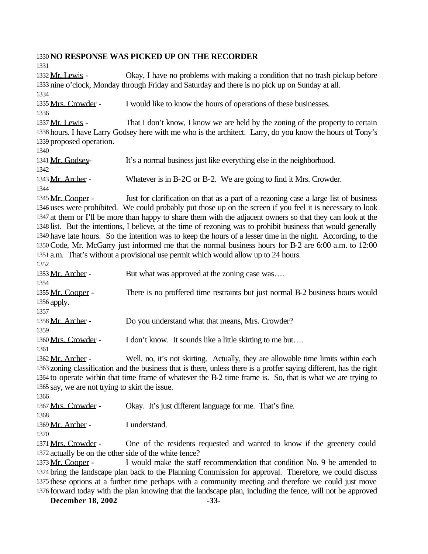#### **NO RESPONSE WAS PICKED UP ON THE RECORDER**

 1332 Mr. Lewis - Okay, I have no problems with making a condition that no trash pickup before nine o'clock, Monday through Friday and Saturday and there is no pick up on Sunday at all. Mrs. Crowder - I would like to know the hours of operations of these businesses. 1337 Mr. Lewis - That I don't know, I know we are held by the zoning of the property to certain hours. I have Larry Godsey here with me who is the architect. Larry, do you know the hours of Tony's proposed operation. 1341 Mr. Godsey- It's a normal business just like everything else in the neighborhood. 1343 Mr. Archer - Whatever is in B-2C or B-2. We are going to find it Mrs. Crowder. 1345 Mr. Cooper - Just for clarification on that as a part of a rezoning case a large list of business uses were prohibited. We could probably put those up on the screen if you feel it is necessary to look at them or I'll be more than happy to share them with the adjacent owners so that they can look at the list. But the intentions, I believe, at the time of rezoning was to prohibit business that would generally have late hours. So the intention was to keep the hours of a lesser time in the night. According, to the Code, Mr. McGarry just informed me that the normal business hours for B-2 are 6:00 a.m. to 12:00 a.m. That's without a provisional use permit which would allow up to 24 hours. 1353 Mr. Archer - But what was approved at the zoning case was.... 1355 Mr. Cooper - There is no proffered time restraints but just normal B-2 business hours would apply. 1358 Mr. Archer - Do you understand what that means, Mrs. Crowder? Mrs. Crowder - I don't know. It sounds like a little skirting to me but…. Mr. Archer - Well, no, it's not skirting. Actually, they are allowable time limits within each zoning classification and the business that is there, unless there is a proffer saying different, has the right to operate within that time frame of whatever the B-2 time frame is. So, that is what we are trying to say, we are not trying to skirt the issue. Mrs. Crowder - Okay. It's just different language for me. That's fine. Mr. Archer - I understand. Mrs. Crowder - One of the residents requested and wanted to know if the greenery could actually be on the other side of the white fence? 1373 Mr. Cooper - I would make the staff recommendation that condition No. 9 be amended to bring the landscape plan back to the Planning Commission for approval. Therefore, we could discuss these options at a further time perhaps with a community meeting and therefore we could just move forward today with the plan knowing that the landscape plan, including the fence, will not be approved

**December 18, 2002** -33-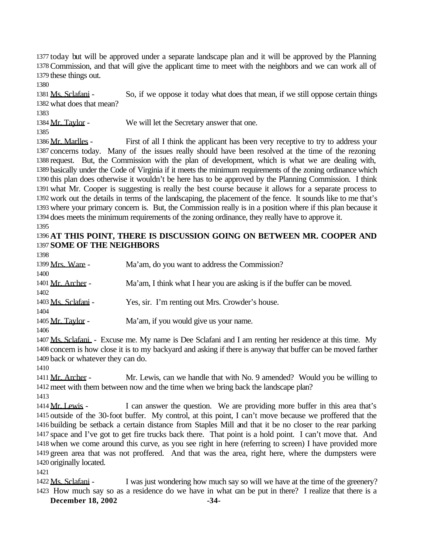today but will be approved under a separate landscape plan and it will be approved by the Planning Commission, and that will give the applicant time to meet with the neighbors and we can work all of these things out.

 Ms. Sclafani - So, if we oppose it today what does that mean, if we still oppose certain things what does that mean?

1384 Mr. Taylor - We will let the Secretary answer that one.

1386 Mr. Marlles - First of all I think the applicant has been very receptive to try to address your concerns today. Many of the issues really should have been resolved at the time of the rezoning request. But, the Commission with the plan of development, which is what we are dealing with, basically under the Code of Virginia if it meets the minimum requirements of the zoning ordinance which this plan does otherwise it wouldn't be here has to be approved by the Planning Commission. I think what Mr. Cooper is suggesting is really the best course because it allows for a separate process to work out the details in terms of the landscaping, the placement of the fence. It sounds like to me that's where your primary concern is. But, the Commission really is in a position where if this plan because it does meets the minimum requirements of the zoning ordinance, they really have to approve it. 

# **AT THIS POINT, THERE IS DISCUSSION GOING ON BETWEEN MR. COOPER AND SOME OF THE NEIGHBORS**

1399 Mrs. Ware - Ma'am, do you want to address the Commission? 1401 Mr. Archer - Ma'am, I think what I hear you are asking is if the buffer can be moved. Ms. Sclafani - Yes, sir. I'm renting out Mrs. Crowder's house. 1405 Mr. Taylor - Ma'am, if you would give us your name. 

1407 Ms. Sclafani - Excuse me. My name is Dee Sclafani and I am renting her residence at this time. My concern is how close it is to my backyard and asking if there is anyway that buffer can be moved farther back or whatever they can do.

1411 Mr. Archer - Mr. Lewis, can we handle that with No. 9 amended? Would you be willing to meet with them between now and the time when we bring back the landscape plan?

1414 Mr. Lewis - I can answer the question. We are providing more buffer in this area that's outside of the 30-foot buffer. My control, at this point, I can't move because we proffered that the building be setback a certain distance from Staples Mill and that it be no closer to the rear parking space and I've got to get fire trucks back there. That point is a hold point. I can't move that. And when we come around this curve, as you see right in here (referring to screen) I have provided more green area that was not proffered. And that was the area, right here, where the dumpsters were originally located.

 Ms. Sclafani - I was just wondering how much say so will we have at the time of the greenery? How much say so as a residence do we have in what can be put in there? I realize that there is a

**December 18, 2002** -34-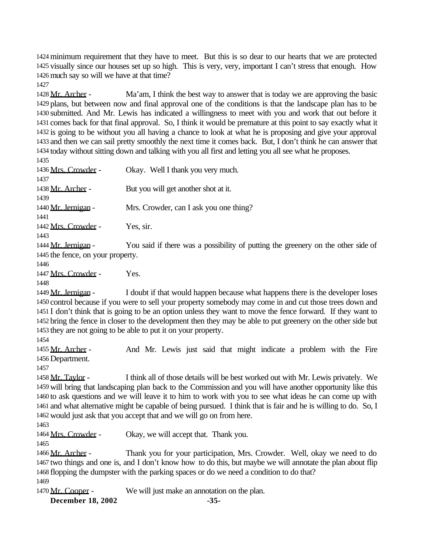minimum requirement that they have to meet. But this is so dear to our hearts that we are protected visually since our houses set up so high. This is very, very, important I can't stress that enough. How much say so will we have at that time?

1428 Mr. Archer - Ma'am, I think the best way to answer that is today we are approving the basic plans, but between now and final approval one of the conditions is that the landscape plan has to be submitted. And Mr. Lewis has indicated a willingness to meet with you and work that out before it comes back for that final approval. So, I think it would be premature at this point to say exactly what it is going to be without you all having a chance to look at what he is proposing and give your approval and then we can sail pretty smoothly the next time it comes back. But, I don't think he can answer that today without sitting down and talking with you all first and letting you all see what he proposes.

| Okay. Well I thank you very much.                                                |
|----------------------------------------------------------------------------------|
|                                                                                  |
| But you will get another shot at it.                                             |
|                                                                                  |
| Mrs. Crowder, can I ask you one thing?                                           |
|                                                                                  |
| Yes, sir.                                                                        |
|                                                                                  |
| You said if there was a possibility of putting the greenery on the other side of |
| 1445 the fence, on your property.                                                |
|                                                                                  |

1447 Mrs. Crowder - Yes.

1449 Mr. Jernigan - I doubt if that would happen because what happens there is the developer loses control because if you were to sell your property somebody may come in and cut those trees down and I don't think that is going to be an option unless they want to move the fence forward. If they want to bring the fence in closer to the development then they may be able to put greenery on the other side but they are not going to be able to put it on your property.

1455 Mr. Archer - And Mr. Lewis just said that might indicate a problem with the Fire Department.

 Mr. Taylor - I think all of those details will be best worked out with Mr. Lewis privately. We will bring that landscaping plan back to the Commission and you will have another opportunity like this to ask questions and we will leave it to him to work with you to see what ideas he can come up with and what alternative might be capable of being pursued. I think that is fair and he is willing to do. So, I would just ask that you accept that and we will go on from here.

1464 Mrs. Crowder - Okay, we will accept that. Thank you.

1466 Mr. Archer - Thank you for your participation, Mrs. Crowder. Well, okay we need to do two things and one is, and I don't know how to do this, but maybe we will annotate the plan about flip flopping the dumpster with the parking spaces or do we need a condition to do that? 

1470 Mr. Cooper - We will just make an annotation on the plan.

**December 18, 2002** -35-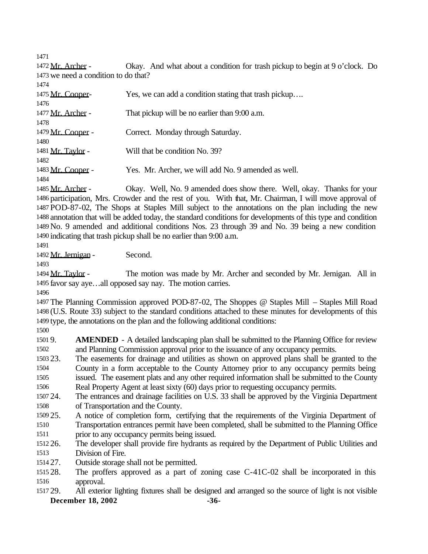Mr. Archer - Okay. And what about a condition for trash pickup to begin at 9 o'clock. Do we need a condition to do that?

| 1474              |                                                       |
|-------------------|-------------------------------------------------------|
| 1475 Mr. Cooper-  | Yes, we can add a condition stating that trash pickup |
| 1476              |                                                       |
| 1477 Mr. Archer - | That pickup will be no earlier than 9:00 a.m.         |
| 1478              |                                                       |
| 1479 Mr. Cooper - | Correct. Monday through Saturday.                     |
| 1480              |                                                       |
| 1481 Mr. Taylor - | Will that be condition No. 39?                        |
| 1482              |                                                       |
| 1483 Mr. Cooper - | Yes. Mr. Archer, we will add No. 9 amended as well.   |
| 1484              |                                                       |
|                   |                                                       |

 Mr. Archer - Okay. Well, No. 9 amended does show there. Well, okay. Thanks for your participation, Mrs. Crowder and the rest of you. With that, Mr. Chairman, I will move approval of POD-87-02, The Shops at Staples Mill subject to the annotations on the plan including the new annotation that will be added today, the standard conditions for developments of this type and condition No. 9 amended and additional conditions Nos. 23 through 39 and No. 39 being a new condition indicating that trash pickup shall be no earlier than 9:00 a.m.

Mr. Jernigan - Second.

 Mr. Taylor - The motion was made by Mr. Archer and seconded by Mr. Jernigan. All in favor say aye…all opposed say nay. The motion carries.

 The Planning Commission approved POD-87-02, The Shoppes @ Staples Mill – Staples Mill Road (U.S. Route 33) subject to the standard conditions attached to these minutes for developments of this type, the annotations on the plan and the following additional conditions:

 9. **AMENDED** - A detailed landscaping plan shall be submitted to the Planning Office for review and Planning Commission approval prior to the issuance of any occupancy permits.

 23. The easements for drainage and utilities as shown on approved plans shall be granted to the County in a form acceptable to the County Attorney prior to any occupancy permits being issued. The easement plats and any other required information shall be submitted to the County

Real Property Agent at least sixty (60) days prior to requesting occupancy permits.

 24. The entrances and drainage facilities on U.S. 33 shall be approved by the Virginia Department of Transportation and the County.

 25. A notice of completion form, certifying that the requirements of the Virginia Department of Transportation entrances permit have been completed, shall be submitted to the Planning Office

prior to any occupancy permits being issued.

 26. The developer shall provide fire hydrants as required by the Department of Public Utilities and Division of Fire.

27. Outside storage shall not be permitted.

 28. The proffers approved as a part of zoning case C-41C-02 shall be incorporated in this approval.

**December 18, 2002 -36-**29. All exterior lighting fixtures shall be designed and arranged so the source of light is not visible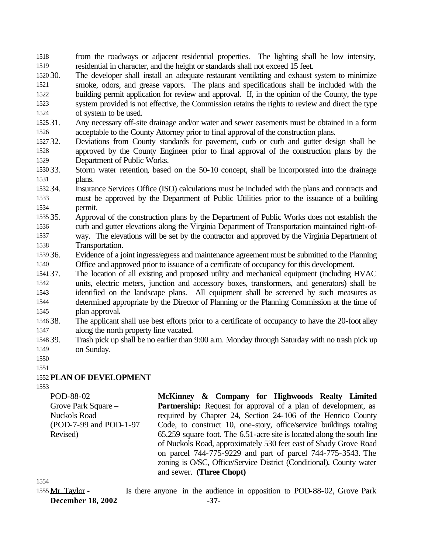from the roadways or adjacent residential properties. The lighting shall be low intensity, residential in character, and the height or standards shall not exceed 15 feet.

 30. The developer shall install an adequate restaurant ventilating and exhaust system to minimize smoke, odors, and grease vapors. The plans and specifications shall be included with the building permit application for review and approval. If, in the opinion of the County, the type system provided is not effective, the Commission retains the rights to review and direct the type of system to be used.

 31. Any necessary off-site drainage and/or water and sewer easements must be obtained in a form acceptable to the County Attorney prior to final approval of the construction plans.

 32. Deviations from County standards for pavement, curb or curb and gutter design shall be approved by the County Engineer prior to final approval of the construction plans by the Department of Public Works.

 33. Storm water retention, based on the 50-10 concept, shall be incorporated into the drainage plans.

 34. Insurance Services Office (ISO) calculations must be included with the plans and contracts and must be approved by the Department of Public Utilities prior to the issuance of a building permit.

 35. Approval of the construction plans by the Department of Public Works does not establish the curb and gutter elevations along the Virginia Department of Transportation maintained right-of- way. The elevations will be set by the contractor and approved by the Virginia Department of Transportation.

 36. Evidence of a joint ingress/egress and maintenance agreement must be submitted to the Planning Office and approved prior to issuance of a certificate of occupancy for this development.

- 37. The location of all existing and proposed utility and mechanical equipment (including HVAC units, electric meters, junction and accessory boxes, transformers, and generators) shall be identified on the landscape plans. All equipment shall be screened by such measures as determined appropriate by the Director of Planning or the Planning Commission at the time of plan approval**.**
- 38. The applicant shall use best efforts prior to a certificate of occupancy to have the 20-foot alley along the north property line vacated.
- 39. Trash pick up shall be no earlier than 9:00 a.m. Monday through Saturday with no trash pick up on Sunday.
- 

### **PLAN OF DEVELOPMENT**

POD-88-02 Grove Park Square – Nuckols Road (POD-7-99 and POD-1-97 Revised) **McKinney & Company for Highwoods Realty Limited Partnership:** Request for approval of a plan of development, as required by Chapter 24, Section 24-106 of the Henrico County Code, to construct 10, one-story, office/service buildings totaling 65,259 square foot. The 6.51-acre site is located along the south line of Nuckols Road, approximately 530 feet east of Shady Grove Road on parcel 744-775-9229 and part of parcel 744-775-3543. The zoning is O/SC, Office/Service District (Conditional). County water and sewer. **(Three Chopt)**

**December 18, 2002** -37-1555 Mr. Taylor - Is there anyone in the audience in opposition to POD-88-02, Grove Park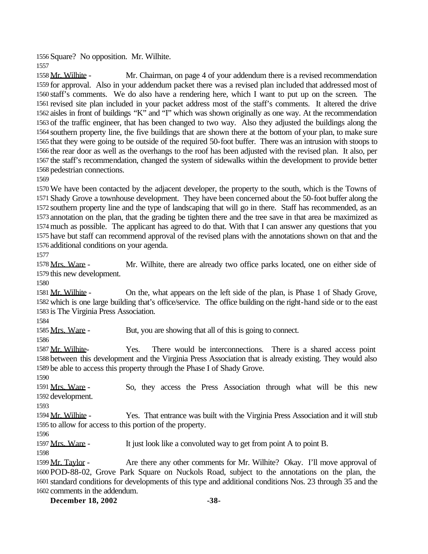Square? No opposition. Mr. Wilhite.

1558 Mr. Wilhite - Mr. Chairman, on page 4 of your addendum there is a revised recommendation for approval. Also in your addendum packet there was a revised plan included that addressed most of staff's comments. We do also have a rendering here, which I want to put up on the screen. The revised site plan included in your packet address most of the staff's comments. It altered the drive aisles in front of buildings "K" and "I" which was shown originally as one way. At the recommendation of the traffic engineer, that has been changed to two way. Also they adjusted the buildings along the southern property line, the five buildings that are shown there at the bottom of your plan, to make sure that they were going to be outside of the required 50-foot buffer. There was an intrusion with stoops to the rear door as well as the overhangs to the roof has been adjusted with the revised plan. It also, per the staff's recommendation, changed the system of sidewalks within the development to provide better pedestrian connections.

We have been contacted by the adjacent developer, the property to the south, which is the Towns of Shady Grove a townhouse development. They have been concerned about the 50-foot buffer along the southern property line and the type of landscaping that will go in there. Staff has recommended, as an annotation on the plan, that the grading be tighten there and the tree save in that area be maximized as much as possible. The applicant has agreed to do that. With that I can answer any questions that you have but staff can recommend approval of the revised plans with the annotations shown on that and the additional conditions on your agenda.

1578 Mrs. Ware - Mr. Wilhite, there are already two office parks located, one on either side of this new development.

 Mr. Wilhite - On the, what appears on the left side of the plan, is Phase 1 of Shady Grove, which is one large building that's office/service. The office building on the right-hand side or to the east is The Virginia Press Association.

1585 Mrs. Ware - But, you are showing that all of this is going to connect.

 Mr. Wilhite- Yes. There would be interconnections. There is a shared access point between this development and the Virginia Press Association that is already existing. They would also be able to access this property through the Phase I of Shady Grove.

 Mrs. Ware - So, they access the Press Association through what will be this new development.

1594 Mr. Wilhite - Yes. That entrance was built with the Virginia Press Association and it will stub to allow for access to this portion of the property.

Mrs. Ware - It just look like a convoluted way to get from point A to point B.

 Mr. Taylor - Are there any other comments for Mr. Wilhite? Okay. I'll move approval of POD-88-02, Grove Park Square on Nuckols Road, subject to the annotations on the plan, the standard conditions for developments of this type and additional conditions Nos. 23 through 35 and the comments in the addendum.

**December 18, 2002 -38-**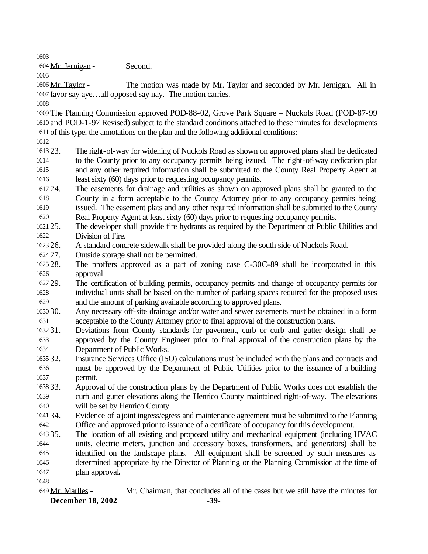Mr. Jernigan - Second.

1606 Mr. Taylor - The motion was made by Mr. Taylor and seconded by Mr. Jernigan. All in favor say aye…all opposed say nay. The motion carries.

 The Planning Commission approved POD-88-02, Grove Park Square – Nuckols Road (POD-87-99 and POD-1-97 Revised) subject to the standard conditions attached to these minutes for developments of this type, the annotations on the plan and the following additional conditions:

 23. The right-of-way for widening of Nuckols Road as shown on approved plans shall be dedicated to the County prior to any occupancy permits being issued. The right-of-way dedication plat and any other required information shall be submitted to the County Real Property Agent at least sixty (60) days prior to requesting occupancy permits.

 24. The easements for drainage and utilities as shown on approved plans shall be granted to the County in a form acceptable to the County Attorney prior to any occupancy permits being issued. The easement plats and any other required information shall be submitted to the County

Real Property Agent at least sixty (60) days prior to requesting occupancy permits.

 25. The developer shall provide fire hydrants as required by the Department of Public Utilities and Division of Fire.

26. A standard concrete sidewalk shall be provided along the south side of Nuckols Road.

27. Outside storage shall not be permitted.

 28. The proffers approved as a part of zoning case C-30C-89 shall be incorporated in this approval.

 29. The certification of building permits, occupancy permits and change of occupancy permits for individual units shall be based on the number of parking spaces required for the proposed uses and the amount of parking available according to approved plans.

 30. Any necessary off-site drainage and/or water and sewer easements must be obtained in a form acceptable to the County Attorney prior to final approval of the construction plans.

- 31. Deviations from County standards for pavement, curb or curb and gutter design shall be approved by the County Engineer prior to final approval of the construction plans by the Department of Public Works.
- 32. Insurance Services Office (ISO) calculations must be included with the plans and contracts and must be approved by the Department of Public Utilities prior to the issuance of a building permit.

 33. Approval of the construction plans by the Department of Public Works does not establish the curb and gutter elevations along the Henrico County maintained right-of-way. The elevations will be set by Henrico County.

 34. Evidence of a joint ingress/egress and maintenance agreement must be submitted to the Planning Office and approved prior to issuance of a certificate of occupancy for this development.

 35. The location of all existing and proposed utility and mechanical equipment (including HVAC units, electric meters, junction and accessory boxes, transformers, and generators) shall be identified on the landscape plans. All equipment shall be screened by such measures as determined appropriate by the Director of Planning or the Planning Commission at the time of plan approval**.**

**December 18, 2002** -39-Mr. Marlles - Mr. Chairman, that concludes all of the cases but we still have the minutes for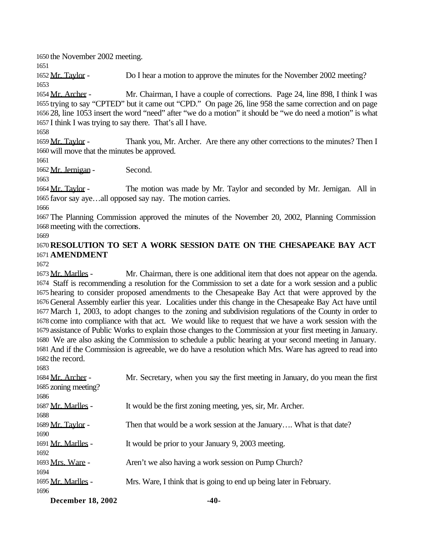the November 2002 meeting.

 Mr. Taylor - Do I hear a motion to approve the minutes for the November 2002 meeting? 

 Mr. Archer - Mr. Chairman, I have a couple of corrections. Page 24, line 898, I think I was trying to say "CPTED" but it came out "CPD." On page 26, line 958 the same correction and on page 28, line 1053 insert the word "need" after "we do a motion" it should be "we do need a motion" is what I think I was trying to say there. That's all I have.

1659 Mr. Taylor - Thank you, Mr. Archer. Are there any other corrections to the minutes? Then I will move that the minutes be approved.

Mr. Jernigan - Second.

 Mr. Taylor - The motion was made by Mr. Taylor and seconded by Mr. Jernigan. All in favor say aye…all opposed say nay. The motion carries.

 The Planning Commission approved the minutes of the November 20, 2002, Planning Commission meeting with the corrections.

# **RESOLUTION TO SET A WORK SESSION DATE ON THE CHESAPEAKE BAY ACT AMENDMENT**

 Mr. Marlles - Mr. Chairman, there is one additional item that does not appear on the agenda. Staff is recommending a resolution for the Commission to set a date for a work session and a public hearing to consider proposed amendments to the Chesapeake Bay Act that were approved by the General Assembly earlier this year. Localities under this change in the Chesapeake Bay Act have until March 1, 2003, to adopt changes to the zoning and subdivision regulations of the County in order to come into compliance with that act. We would like to request that we have a work session with the assistance of Public Works to explain those changes to the Commission at your first meeting in January. We are also asking the Commission to schedule a public hearing at your second meeting in January. And if the Commission is agreeable, we do have a resolution which Mrs. Ware has agreed to read into the record.

| 1683                 |                                                                                 |
|----------------------|---------------------------------------------------------------------------------|
| 1684 Mr. Archer -    | Mr. Secretary, when you say the first meeting in January, do you mean the first |
| 1685 zoning meeting? |                                                                                 |
| 1686                 |                                                                                 |
| 1687 Mr. Marlles -   | It would be the first zoning meeting, yes, sir, Mr. Archer.                     |
| 1688                 |                                                                                 |
| 1689 Mr. Taylor -    | Then that would be a work session at the January What is that date?             |
| 1690                 |                                                                                 |
| 1691 Mr. Marlles -   | It would be prior to your January 9, 2003 meeting.                              |
| 1692                 |                                                                                 |
| 1693 Mrs. Ware -     | Aren't we also having a work session on Pump Church?                            |
| 1694                 |                                                                                 |
| 1695 Mr. Marlles -   | Mrs. Ware, I think that is going to end up being later in February.             |
| 1696                 |                                                                                 |
|                      |                                                                                 |

**December 18, 2002** -40-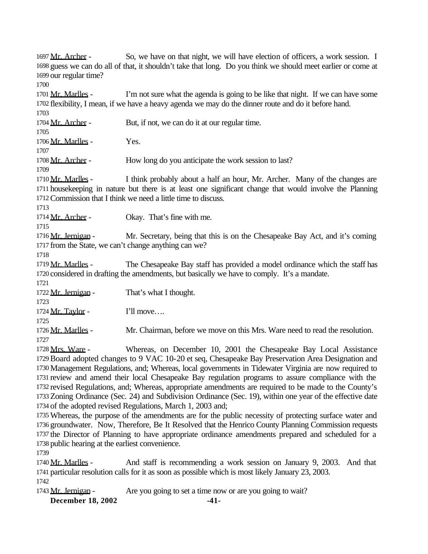1697 Mr. Archer - So, we have on that night, we will have election of officers, a work session. I guess we can do all of that, it shouldn't take that long. Do you think we should meet earlier or come at our regular time? 1701 Mr. Marlles - I'm not sure what the agenda is going to be like that night. If we can have some flexibility, I mean, if we have a heavy agenda we may do the dinner route and do it before hand. 1704 Mr. Archer - But, if not, we can do it at our regular time. 1706 Mr. Marlles - Yes. 1708 Mr. Archer - How long do you anticipate the work session to last? 1710 Mr. Marlles - I think probably about a half an hour, Mr. Archer. Many of the changes are housekeeping in nature but there is at least one significant change that would involve the Planning 1712 Commission that I think we need a little time to discuss. 1714 Mr. Archer - Okay. That's fine with me. 1716 Mr. Jernigan - Mr. Secretary, being that this is on the Chesapeake Bay Act, and it's coming from the State, we can't change anything can we? 1719 Mr. Marlles - The Chesapeake Bay staff has provided a model ordinance which the staff has considered in drafting the amendments, but basically we have to comply. It's a mandate. 1722 Mr. Jernigan - That's what I thought. 1724 Mr. Taylor - I'll move.... Mr. Marlles - Mr. Chairman, before we move on this Mrs. Ware need to read the resolution. Mrs. Ware - Whereas, on December 10, 2001 the Chesapeake Bay Local Assistance Board adopted changes to 9 VAC 10-20 et seq, Chesapeake Bay Preservation Area Designation and Management Regulations, and; Whereas, local governments in Tidewater Virginia are now required to review and amend their local Chesapeake Bay regulation programs to assure compliance with the revised Regulations, and; Whereas, appropriate amendments are required to be made to the County's Zoning Ordinance (Sec. 24) and Subdivision Ordinance (Sec. 19), within one year of the effective date of the adopted revised Regulations, March 1, 2003 and; Whereas, the purpose of the amendments are for the public necessity of protecting surface water and groundwater. Now, Therefore, Be It Resolved that the Henrico County Planning Commission requests the Director of Planning to have appropriate ordinance amendments prepared and scheduled for a public hearing at the earliest convenience. 1740 Mr. Marlles - And staff is recommending a work session on January 9, 2003. And that particular resolution calls for it as soon as possible which is most likely January 23, 2003.

1743 Mr. Jernigan - Are you going to set a time now or are you going to wait?

**December 18, 2002** -41-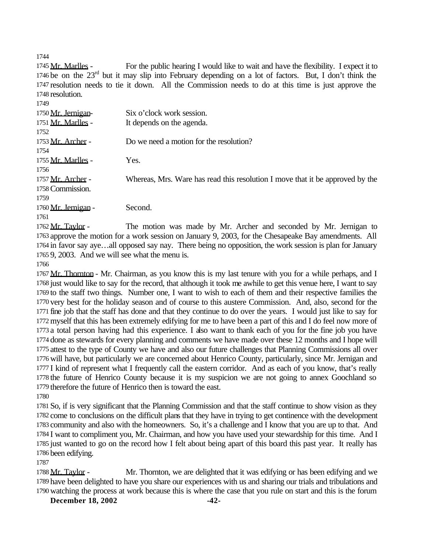Mr. Marlles - For the public hearing I would like to wait and have the flexibility. I expect it to 1746 be on the  $23<sup>rd</sup>$  but it may slip into February depending on a lot of factors. But, I don't think the resolution needs to tie it down. All the Commission needs to do at this time is just approve the resolution.

| 1749                        |                                                                                                                                                                                                     |
|-----------------------------|-----------------------------------------------------------------------------------------------------------------------------------------------------------------------------------------------------|
| 1750 Mr. Jernigan-          | Six o'clock work session.                                                                                                                                                                           |
| 1751 Mr. Marlles -          | It depends on the agenda.                                                                                                                                                                           |
| 1752                        |                                                                                                                                                                                                     |
| 1753 Mr. Archer -           | Do we need a motion for the resolution?                                                                                                                                                             |
| 1754                        |                                                                                                                                                                                                     |
| 1755 Mr. Marlles -          | Yes.                                                                                                                                                                                                |
| 1756                        |                                                                                                                                                                                                     |
| 1757 Mr. Archer -           | Whereas, Mrs. Ware has read this resolution I move that it be approved by the                                                                                                                       |
| 1758 Commission.            |                                                                                                                                                                                                     |
| 1759                        |                                                                                                                                                                                                     |
| 1760 Mr. Jernigan -         | Second.                                                                                                                                                                                             |
| 1761                        |                                                                                                                                                                                                     |
| $1700$ M $\mu$ T $-1$ $\mu$ | $\mathbf{T1}$ , and the contract of the $\mathbf{M}$ , $\mathbf{M}$ , $\mathbf{A}$ and $\mathbf{A}$ and $\mathbf{A}$ and $\mathbf{A}$ and $\mathbf{M}$ , $\mathbf{I}$ , $\mathbf{M}$ , $\mathbf{I}$ |

1762 Mr. Taylor - The motion was made by Mr. Archer and seconded by Mr. Jernigan to approve the motion for a work session on January 9, 2003, for the Chesapeake Bay amendments. All in favor say aye…all opposed say nay. There being no opposition, the work session is plan for January 9, 2003. And we will see what the menu is.

1767 Mr. Thornton - Mr. Chairman, as you know this is my last tenure with you for a while perhaps, and I just would like to say for the record, that although it took me awhile to get this venue here, I want to say to the staff two things. Number one, I want to wish to each of them and their respective families the very best for the holiday season and of course to this austere Commission. And, also, second for the fine job that the staff has done and that they continue to do over the years. I would just like to say for myself that this has been extremely edifying for me to have been a part of this and I do feel now more of a total person having had this experience. I also want to thank each of you for the fine job you have done as stewards for every planning and comments we have made over these 12 months and I hope will attest to the type of County we have and also our future challenges that Planning Commissions all over will have, but particularly we are concerned about Henrico County, particularly, since Mr. Jernigan and I kind of represent what I frequently call the eastern corridor. And as each of you know, that's really the future of Henrico County because it is my suspicion we are not going to annex Goochland so therefore the future of Henrico then is toward the east.

 So, if is very significant that the Planning Commission and that the staff continue to show vision as they come to conclusions on the difficult plans that they have in trying to get continence with the development community and also with the homeowners. So, it's a challenge and I know that you are up to that. And I want to compliment you, Mr. Chairman, and how you have used your stewardship for this time. And I just wanted to go on the record how I felt about being apart of this board this past year. It really has been edifying.

1788 Mr. Taylor - Mr. Thornton, we are delighted that it was edifying or has been edifying and we have been delighted to have you share our experiences with us and sharing our trials and tribulations and watching the process at work because this is where the case that you rule on start and this is the forum

**December 18, 2002** -42-